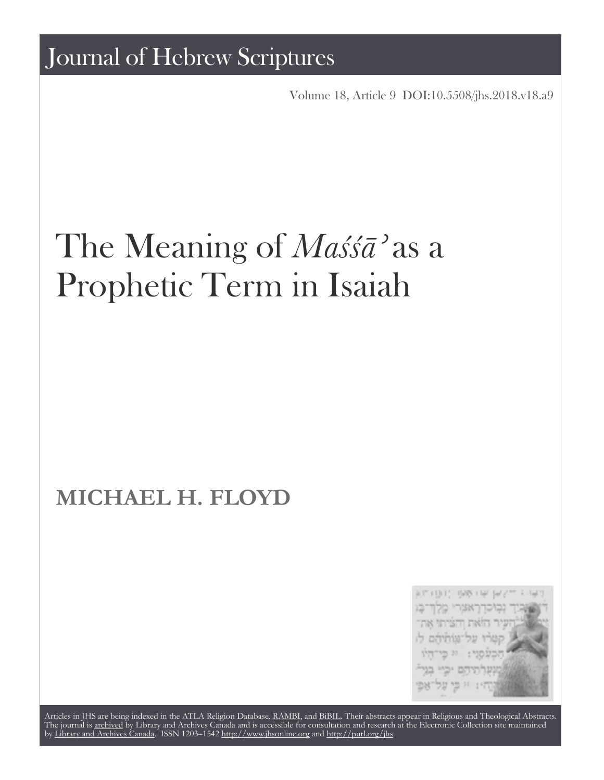Volume 18, Article 9 [DOI:10.5508/jhs.2018.v18.a9](http://dx.doi.org/10.5508/jhs.2018.v18.a9)

# The Meaning of *Massaʾ* as a Prophetic Term in Isaiah

## **MICHAEL H. FLOYD**



Articles in JHS are being indexed in the ATLA Religion Database, [RAMBI,](http://web.nli.org.il/sites/nli/english/infochannels/catalogs/bibliographic-databases/rambi/pages/rambi.aspx) and [BiBIL](http://bibil.net/). Their abstracts appear in Religious and Theological Abstracts. The journal is [archived](http://epe.lac-bac.gc.ca/100/201/300/journal_hebrew/index.html) by Library and Archives Canada and is accessible for consultation and research at the Electronic Collection site maintained by [Library and Archives Canada.](http://collectionscanada.ca/electroniccollection/) ISSN 1203–1542 <http://www.jhsonline.org>and<http://purl.org/jhs>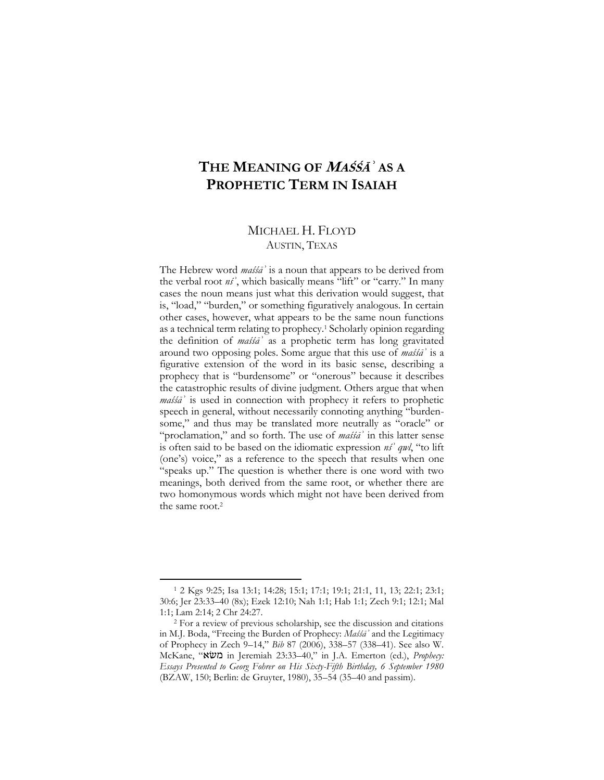### **THE MEANING OF MAŚŚĀ***ʾ* **AS A PROPHETIC TERM IN ISAIAH**

#### MICHAEL H. FLOYD AUSTIN, TEXAS

The Hebrew word *maśśāʾ* is a noun that appears to be derived from the verbal root *nśʾ*, which basically means "lift" or "carry." In many cases the noun means just what this derivation would suggest, that is, "load," "burden," or something figuratively analogous. In certain other cases, however, what appears to be the same noun functions as a technical term relating to prophecy.1 Scholarly opinion regarding the definition of *maśśāʾ* as a prophetic term has long gravitated around two opposing poles. Some argue that this use of *maśśāʾ* is a figurative extension of the word in its basic sense, describing a prophecy that is "burdensome" or "onerous" because it describes the catastrophic results of divine judgment. Others argue that when *maśśāʾ* is used in connection with prophecy it refers to prophetic speech in general, without necessarily connoting anything "burdensome," and thus may be translated more neutrally as "oracle" or "proclamation," and so forth. The use of *maśśāʾ* in this latter sense is often said to be based on the idiomatic expression *nśʾ qwl*, "to lift (one's) voice," as a reference to the speech that results when one "speaks up." The question is whether there is one word with two meanings, both derived from the same root, or whether there are two homonymous words which might not have been derived from the same root.2

<sup>1</sup> 2 Kgs 9:25; Isa 13:1; 14:28; 15:1; 17:1; 19:1; 21:1, 11, 13; 22:1; 23:1; 30:6; Jer 23:33–40 (8x); Ezek 12:10; Nah 1:1; Hab 1:1; Zech 9:1; 12:1; Mal 1:1; Lam 2:14; 2 Chr 24:27.

<sup>2</sup> For a review of previous scholarship, see the discussion and citations in M.J. Boda, "Freeing the Burden of Prophecy: *Maśśāʾ* and the Legitimacy of Prophecy in Zech 9–14," *Bib* 87 (2006), 338–57 (338–41). See also W. McKane, "משׂא in Jeremiah 23:33–40," in J.A. Emerton (ed.), *Prophecy: Essays Presented to Georg Fohrer on His Sixty-Fifth Birthday, 6 September 1980* (BZAW, 150; Berlin: de Gruyter, 1980), 35–54 (35–40 and passim).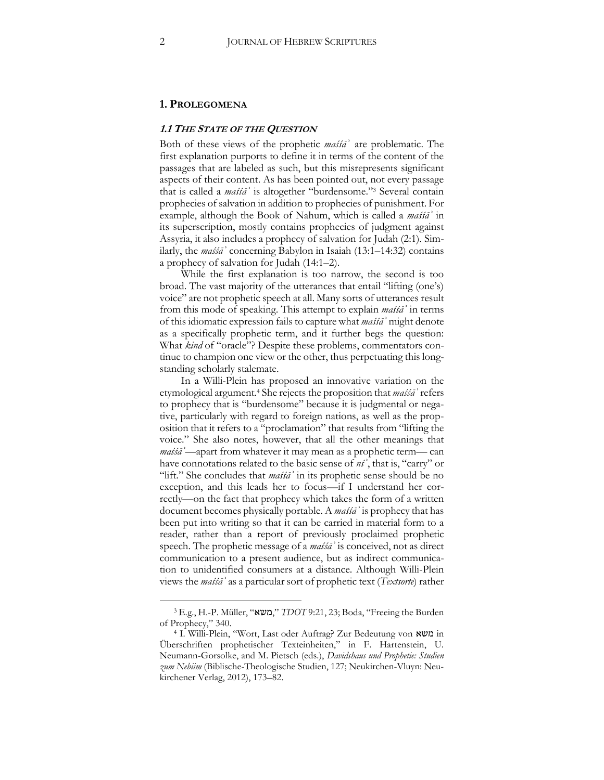#### **1. PROLEGOMENA**

#### **1.1 THE STATE OF THE QUESTION**

Both of these views of the prophetic *maśśāʾ* are problematic. The first explanation purports to define it in terms of the content of the passages that are labeled as such, but this misrepresents significant aspects of their content. As has been pointed out, not every passage that is called a *maśśāʾ* is altogether "burdensome."<sup>3</sup> Several contain prophecies of salvation in addition to prophecies of punishment. For example, although the Book of Nahum, which is called a *maśśāʾ* in its superscription, mostly contains prophecies of judgment against Assyria, it also includes a prophecy of salvation for Judah (2:1). Similarly, the *maśśāʾ* concerning Babylon in Isaiah (13:1–14:32) contains a prophecy of salvation for Judah (14:1–2).

While the first explanation is too narrow, the second is too broad. The vast majority of the utterances that entail "lifting (one's) voice" are not prophetic speech at all. Many sorts of utterances result from this mode of speaking. This attempt to explain *maśśāʾ* in terms of this idiomatic expression fails to capture what *maśśāʾ* might denote as a specifically prophetic term, and it further begs the question: What *kind* of "oracle"? Despite these problems, commentators continue to champion one view or the other, thus perpetuating this longstanding scholarly stalemate.

In a Willi-Plein has proposed an innovative variation on the etymological argument.4 She rejects the proposition that *maśśāʾ* refers to prophecy that is "burdensome" because it is judgmental or negative, particularly with regard to foreign nations, as well as the proposition that it refers to a "proclamation" that results from "lifting the voice." She also notes, however, that all the other meanings that *maśśāʾ*—apart from whatever it may mean as a prophetic term— can have connotations related to the basic sense of *nśʾ*, that is, "carry" or "lift." She concludes that *maśśāʾ* in its prophetic sense should be no exception, and this leads her to focus—if I understand her correctly—on the fact that prophecy which takes the form of a written document becomes physically portable. A *maśśāʾ* is prophecy that has been put into writing so that it can be carried in material form to a reader, rather than a report of previously proclaimed prophetic speech. The prophetic message of a *maśśāʾ* is conceived, not as direct communication to a present audience, but as indirect communication to unidentified consumers at a distance. Although Willi-Plein views the *maśśāʾ* as a particular sort of prophetic text (*Textsorte*) rather

<sup>3</sup> E.g., H.-P. Müller, "משא, "*TDOT* 9:21, 23; Boda, "Freeing the Burden of Prophecy," 340.

<sup>4</sup> I. Willi-Plein, "Wort, Last oder Auftrag? Zur Bedeutung von משא in Überschriften prophetischer Texteinheiten," in F. Hartenstein, U. Neumann-Gorsolke, and M. Pietsch (eds.), *Davidshaus und Prophetie: Studien zum Nebiim* (Biblische-Theologische Studien, 127; Neukirchen-Vluyn: Neukirchener Verlag, 2012), 173–82.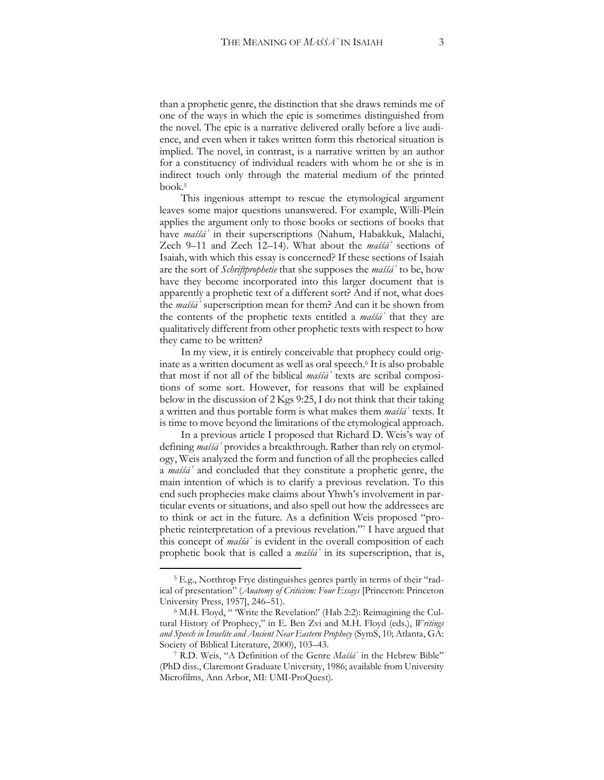than a prophetic genre, the distinction that she draws reminds me of one of the ways in which the epic is sometimes distinguished from the novel. The epic is a narrative delivered orally before a live audience, and even when it takes written form this rhetorical situation is implied. The novel, in contrast, is a narrative written by an author for a constituency of individual readers with whom he or she is in indirect touch only through the material medium of the printed book.5

This ingenious attempt to rescue the etymological argument leaves some major questions unanswered. For example, Willi-Plein applies the argument only to those books or sections of books that have *maśśāʾ* in their superscriptions (Nahum, Habakkuk, Malachi, Zech 9–11 and Zech 12–14). What about the *maśśāʾ* sections of Isaiah, with which this essay is concerned? If these sections of Isaiah are the sort of *Schriftprophetie* that she supposes the *maśśāʾ* to be, how have they become incorporated into this larger document that is apparently a prophetic text of a different sort? And if not, what does the *maśśāʾ* superscription mean for them? And can it be shown from the contents of the prophetic texts entitled a *maśśāʾ* that they are qualitatively different from other prophetic texts with respect to how they came to be written?

In my view, it is entirely conceivable that prophecy could originate as a written document as well as oral speech.6 It is also probable that most if not all of the biblical *maśśāʾ* texts are scribal compositions of some sort. However, for reasons that will be explained below in the discussion of 2 Kgs 9:25, I do not think that their taking a written and thus portable form is what makes them *maśśāʾ* texts. It is time to move beyond the limitations of the etymological approach.

In a previous article I proposed that Richard D. Weis's way of defining *maśśāʾ* provides a breakthrough. Rather than rely on etymology, Weis analyzed the form and function of all the prophecies called a *maśśāʾ* and concluded that they constitute a prophetic genre, the main intention of which is to clarify a previous revelation. To this end such prophecies make claims about Yhwh's involvement in particular events or situations, and also spell out how the addressees are to think or act in the future. As a definition Weis proposed "prophetic reinterpretation of a previous revelation."<sup>7</sup> I have argued that this concept of *maśśāʾ* is evident in the overall composition of each prophetic book that is called a *maśśāʾ* in its superscription, that is,

<sup>5</sup> E.g., Northrop Frye distinguishes genres partly in terms of their "radical of presentation" (*Anatomy of Criticism: Four Essays* [Princeton: Princeton University Press, 1957], 246–51).

<sup>6</sup> M.H. Floyd, " 'Write the Revelation!' (Hab 2:2): Reimagining the Cultural History of Prophecy," in E. Ben Zvi and M.H. Floyd (eds.), *Writings and Speech in Israelite and Ancient Near Eastern Prophecy* (SymS, 10; Atlanta, GA: Society of Biblical Literature, 2000), 103–43.

<sup>7</sup> R.D. Weis, "A Definition of the Genre *Maśśāʾ* in the Hebrew Bible" (PhD diss., Claremont Graduate University, 1986; available from University Microfilms, Ann Arbor, MI: UMI-ProQuest).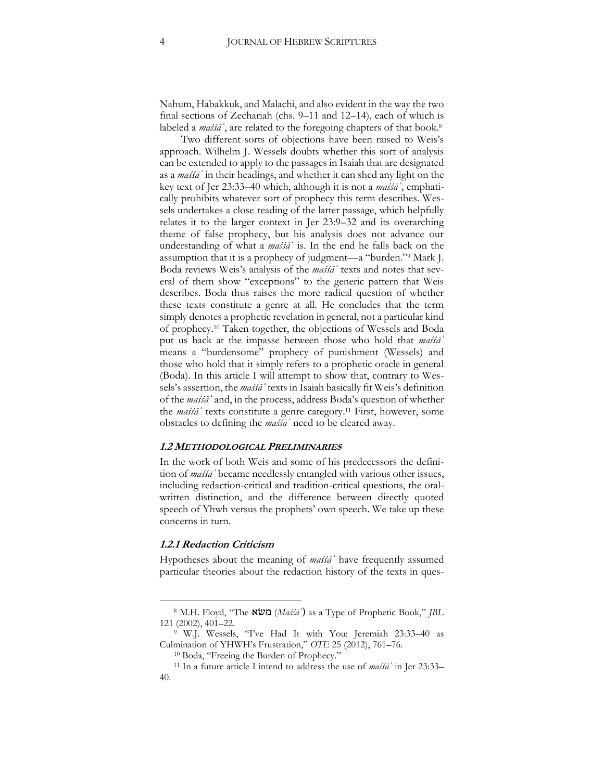Nahum, Habakkuk, and Malachi, and also evident in the way the two final sections of Zechariah (chs. 9–11 and 12–14), each of which is labeled a *maśśāʾ*, are related to the foregoing chapters of that book.8

Two different sorts of objections have been raised to Weis's approach. Wilhelm J. Wessels doubts whether this sort of analysis can be extended to apply to the passages in Isaiah that are designated as a *maśśāʾ* in their headings, and whether it can shed any light on the key text of Jer 23:33–40 which, although it is not a *maśśāʾ*, emphatically prohibits whatever sort of prophecy this term describes. Wessels undertakes a close reading of the latter passage, which helpfully relates it to the larger context in Jer 23:9–32 and its overarching theme of false prophecy, but his analysis does not advance our understanding of what a *maśśāʾ* is. In the end he falls back on the assumption that it is a prophecy of judgment—a "burden."<sup>9</sup> Mark J. Boda reviews Weis's analysis of the *maśśāʾ* texts and notes that several of them show "exceptions" to the generic pattern that Weis describes. Boda thus raises the more radical question of whether these texts constitute a genre at all. He concludes that the term simply denotes a prophetic revelation in general, not a particular kind of prophecy.10 Taken together, the objections of Wessels and Boda put us back at the impasse between those who hold that *maśśāʾ* means a "burdensome" prophecy of punishment (Wessels) and those who hold that it simply refers to a prophetic oracle in general (Boda). In this article I will attempt to show that, contrary to Wessels's assertion, the *maśśāʾ* texts in Isaiah basically fit Weis's definition of the *maśśāʾ* and, in the process, address Boda's question of whether the *maśśāʾ* texts constitute a genre category. <sup>11</sup> First, however, some obstacles to defining the *maśśāʾ* need to be cleared away.

#### **1.2 METHODOLOGICAL PRELIMINARIES**

In the work of both Weis and some of his predecessors the definition of *maśśāʾ* became needlessly entangled with various other issues, including redaction-critical and tradition-critical questions, the oralwritten distinction, and the difference between directly quoted speech of Yhwh versus the prophets' own speech. We take up these concerns in turn.

#### **1.2.1 Redaction Criticism**

 $\overline{a}$ 

Hypotheses about the meaning of *maśśāʾ* have frequently assumed particular theories about the redaction history of the texts in ques-

<sup>8</sup> M.H. Floyd, "The משׂא) *Maśśāʾ*) as a Type of Prophetic Book," *JBL*  121 (2002), 401–22.

<sup>9</sup> W.J. Wessels, "I've Had It with You: Jeremiah 23:33–40 as Culmination of YHWH's Frustration," *OTE* 25 (2012), 761–76.

<sup>10</sup> Boda, "Freeing the Burden of Prophecy."

<sup>11</sup> In a future article I intend to address the use of *maśśāʾ* in Jer 23:33– 40.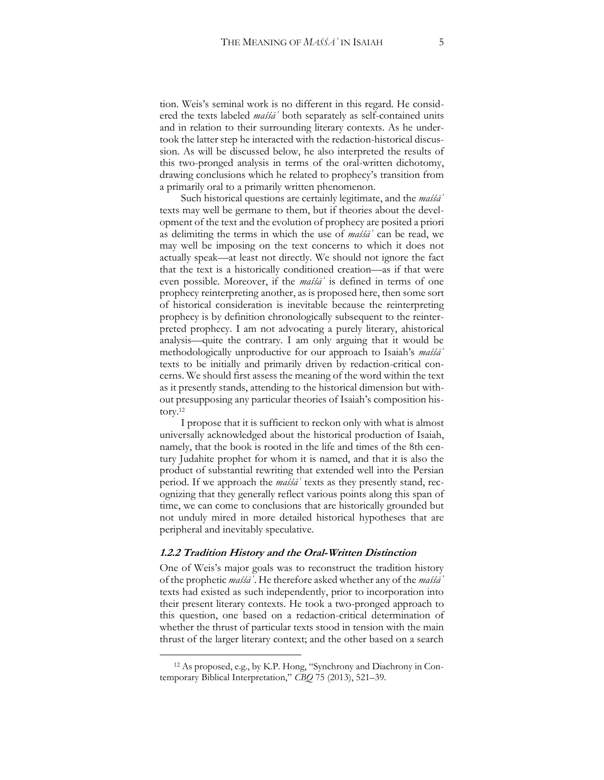tion. Weis's seminal work is no different in this regard. He considered the texts labeled *maśśāʾ* both separately as self-contained units and in relation to their surrounding literary contexts. As he undertook the latter step he interacted with the redaction-historical discussion. As will be discussed below, he also interpreted the results of this two-pronged analysis in terms of the oral-written dichotomy, drawing conclusions which he related to prophecy's transition from a primarily oral to a primarily written phenomenon.

Such historical questions are certainly legitimate, and the *maśśāʾ* texts may well be germane to them, but if theories about the development of the text and the evolution of prophecy are posited a priori as delimiting the terms in which the use of *maśśāʾ* can be read, we may well be imposing on the text concerns to which it does not actually speak—at least not directly. We should not ignore the fact that the text is a historically conditioned creation—as if that were even possible. Moreover, if the *maśśāʾ* is defined in terms of one prophecy reinterpreting another, as is proposed here, then some sort of historical consideration is inevitable because the reinterpreting prophecy is by definition chronologically subsequent to the reinterpreted prophecy. I am not advocating a purely literary, ahistorical analysis—quite the contrary. I am only arguing that it would be methodologically unproductive for our approach to Isaiah's *maśśāʾ* texts to be initially and primarily driven by redaction-critical concerns. We should first assess the meaning of the word within the text as it presently stands, attending to the historical dimension but without presupposing any particular theories of Isaiah's composition history.12

I propose that it is sufficient to reckon only with what is almost universally acknowledged about the historical production of Isaiah, namely, that the book is rooted in the life and times of the 8th century Judahite prophet for whom it is named, and that it is also the product of substantial rewriting that extended well into the Persian period. If we approach the *maśśāʾ* texts as they presently stand, recognizing that they generally reflect various points along this span of time, we can come to conclusions that are historically grounded but not unduly mired in more detailed historical hypotheses that are peripheral and inevitably speculative.

#### **1.2.2 Tradition History and the Oral-Written Distinction**

One of Weis's major goals was to reconstruct the tradition history of the prophetic *maśśāʾ*. He therefore asked whether any of the *maśśāʾ* texts had existed as such independently, prior to incorporation into their present literary contexts. He took a two-pronged approach to this question, one based on a redaction-critical determination of whether the thrust of particular texts stood in tension with the main thrust of the larger literary context; and the other based on a search

<sup>12</sup> As proposed, e.g., by K.P. Hong, "Synchrony and Diachrony in Contemporary Biblical Interpretation," *CBQ* 75 (2013), 521–39.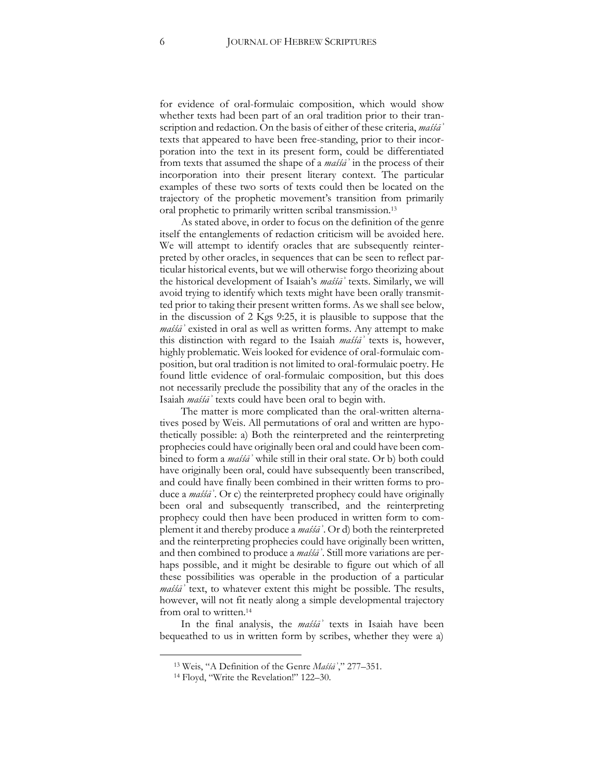for evidence of oral-formulaic composition, which would show whether texts had been part of an oral tradition prior to their transcription and redaction. On the basis of either of these criteria, *maśśāʾ* texts that appeared to have been free-standing, prior to their incorporation into the text in its present form, could be differentiated from texts that assumed the shape of a *maśśāʾ* in the process of their incorporation into their present literary context. The particular examples of these two sorts of texts could then be located on the trajectory of the prophetic movement's transition from primarily oral prophetic to primarily written scribal transmission.13

As stated above, in order to focus on the definition of the genre itself the entanglements of redaction criticism will be avoided here. We will attempt to identify oracles that are subsequently reinterpreted by other oracles, in sequences that can be seen to reflect particular historical events, but we will otherwise forgo theorizing about the historical development of Isaiah's *maśśāʾ* texts. Similarly, we will avoid trying to identify which texts might have been orally transmitted prior to taking their present written forms. As we shall see below, in the discussion of 2 Kgs 9:25, it is plausible to suppose that the *maśśāʾ* existed in oral as well as written forms. Any attempt to make this distinction with regard to the Isaiah *maśśāʾ* texts is, however, highly problematic. Weis looked for evidence of oral-formulaic composition, but oral tradition is not limited to oral-formulaic poetry. He found little evidence of oral-formulaic composition, but this does not necessarily preclude the possibility that any of the oracles in the Isaiah *maśśāʾ* texts could have been oral to begin with.

The matter is more complicated than the oral-written alternatives posed by Weis. All permutations of oral and written are hypothetically possible: a) Both the reinterpreted and the reinterpreting prophecies could have originally been oral and could have been combined to form a *maśśāʾ* while still in their oral state. Or b) both could have originally been oral, could have subsequently been transcribed, and could have finally been combined in their written forms to produce a *maśśāʾ*. Or c) the reinterpreted prophecy could have originally been oral and subsequently transcribed, and the reinterpreting prophecy could then have been produced in written form to complement it and thereby produce a *maśśāʾ*. Or d) both the reinterpreted and the reinterpreting prophecies could have originally been written, and then combined to produce a *maśśāʾ*. Still more variations are perhaps possible, and it might be desirable to figure out which of all these possibilities was operable in the production of a particular *maśśāʾ* text, to whatever extent this might be possible. The results, however, will not fit neatly along a simple developmental trajectory from oral to written.<sup>14</sup>

In the final analysis, the *maśśāʾ* texts in Isaiah have been bequeathed to us in written form by scribes, whether they were a)

<sup>13</sup> Weis, "A Definition of the Genre *Maśśāʾ*," 277–351.

<sup>14</sup> Floyd, "Write the Revelation!" 122–30.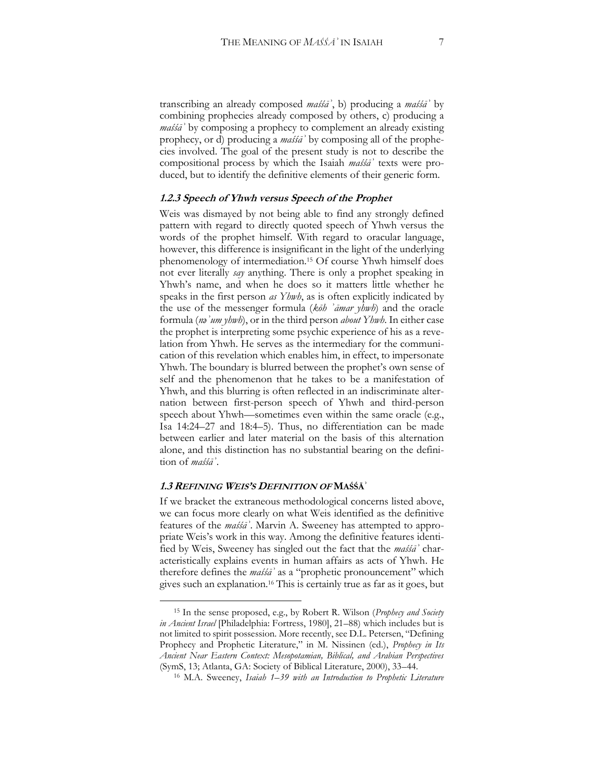transcribing an already composed *maśśāʾ*, b) producing a *maśśāʾ* by combining prophecies already composed by others, c) producing a *maśśāʾ* by composing a prophecy to complement an already existing prophecy, or d) producing a *maśśāʾ* by composing all of the prophecies involved. The goal of the present study is not to describe the compositional process by which the Isaiah *maśśāʾ* texts were produced, but to identify the definitive elements of their generic form.

#### **1.2.3 Speech of Yhwh versus Speech of the Prophet**

Weis was dismayed by not being able to find any strongly defined pattern with regard to directly quoted speech of Yhwh versus the words of the prophet himself. With regard to oracular language, however, this difference is insignificant in the light of the underlying phenomenology of intermediation.15 Of course Yhwh himself does not ever literally *say* anything. There is only a prophet speaking in Yhwh's name, and when he does so it matters little whether he speaks in the first person *as Yhwh*, as is often explicitly indicated by the use of the messenger formula (*kōh ʾāmar yhwh*) and the oracle formula (*nǝʾum yhwh*), or in the third person *about Yhwh*. In either case the prophet is interpreting some psychic experience of his as a revelation from Yhwh. He serves as the intermediary for the communication of this revelation which enables him, in effect, to impersonate Yhwh. The boundary is blurred between the prophet's own sense of self and the phenomenon that he takes to be a manifestation of Yhwh, and this blurring is often reflected in an indiscriminate alternation between first-person speech of Yhwh and third-person speech about Yhwh—sometimes even within the same oracle (e.g., Isa 14:24–27 and 18:4–5). Thus, no differentiation can be made between earlier and later material on the basis of this alternation alone, and this distinction has no substantial bearing on the definition of *maśśāʾ*.

#### **1.3 REFINING WEIS'S DEFINITION OF MAŚŚĀʾ**

 $\overline{a}$ 

If we bracket the extraneous methodological concerns listed above, we can focus more clearly on what Weis identified as the definitive features of the *maśśāʾ*. Marvin A. Sweeney has attempted to appropriate Weis's work in this way. Among the definitive features identified by Weis, Sweeney has singled out the fact that the *maśśāʾ* characteristically explains events in human affairs as acts of Yhwh. He therefore defines the *maśśāʾ* as a "prophetic pronouncement" which gives such an explanation.16 This is certainly true as far as it goes, but

<sup>15</sup> In the sense proposed, e.g., by Robert R. Wilson (*Prophecy and Society in Ancient Israel* [Philadelphia: Fortress, 1980], 21–88) which includes but is not limited to spirit possession. More recently, see D.L. Petersen, "Defining Prophecy and Prophetic Literature," in M. Nissinen (ed.), *Prophecy in Its Ancient Near Eastern Context: Mesopotamian, Biblical, and Arabian Perspectives* (SymS, 13; Atlanta, GA: Society of Biblical Literature, 2000), 33–44.

<sup>16</sup> M.A. Sweeney, *Isaiah 1–39 with an Introduction to Prophetic Literature*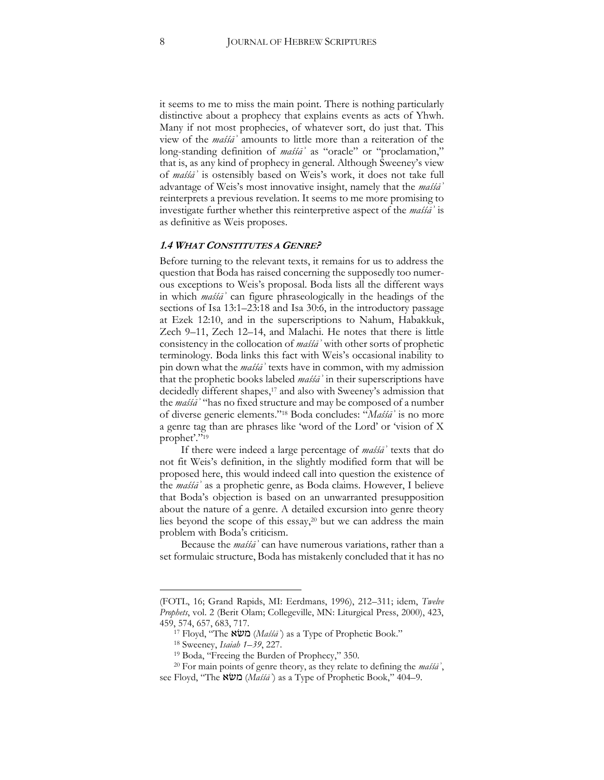it seems to me to miss the main point. There is nothing particularly distinctive about a prophecy that explains events as acts of Yhwh. Many if not most prophecies, of whatever sort, do just that. This view of the *maśśāʾ* amounts to little more than a reiteration of the long-standing definition of *maśśāʾ* as "oracle" or "proclamation," that is, as any kind of prophecy in general. Although Sweeney's view of *maśśāʾ* is ostensibly based on Weis's work, it does not take full advantage of Weis's most innovative insight, namely that the *maśśāʾ* reinterprets a previous revelation. It seems to me more promising to investigate further whether this reinterpretive aspect of the *maśśāʾ* is as definitive as Weis proposes.

#### **1.4 WHAT CONSTITUTES A GENRE?**

Before turning to the relevant texts, it remains for us to address the question that Boda has raised concerning the supposedly too numerous exceptions to Weis's proposal. Boda lists all the different ways in which *maśśāʾ* can figure phraseologically in the headings of the sections of Isa 13:1–23:18 and Isa 30:6, in the introductory passage at Ezek 12:10, and in the superscriptions to Nahum, Habakkuk, Zech 9–11, Zech 12–14, and Malachi. He notes that there is little consistency in the collocation of *maśśāʾ* with other sorts of prophetic terminology. Boda links this fact with Weis's occasional inability to pin down what the *maśśāʾ* texts have in common, with my admission that the prophetic books labeled *maśśāʾ* in their superscriptions have decidedly different shapes,<sup>17</sup> and also with Sweeney's admission that the *maśśāʾ* "has no fixed structure and may be composed of a number of diverse generic elements."<sup>18</sup> Boda concludes: "*Maśśāʾ* is no more a genre tag than are phrases like 'word of the Lord' or 'vision of X prophet'."<sup>19</sup>

If there were indeed a large percentage of *maśśāʾ* texts that do not fit Weis's definition, in the slightly modified form that will be proposed here, this would indeed call into question the existence of the *maśśāʾ* as a prophetic genre, as Boda claims. However, I believe that Boda's objection is based on an unwarranted presupposition about the nature of a genre. A detailed excursion into genre theory lies beyond the scope of this essay,<sup>20</sup> but we can address the main problem with Boda's criticism.

Because the *maśśāʾ* can have numerous variations, rather than a set formulaic structure, Boda has mistakenly concluded that it has no

<sup>(</sup>FOTL, 16; Grand Rapids, MI: Eerdmans, 1996), 212–311; idem, *Twelve Prophets*, vol. 2 (Berit Olam; Collegeville, MN: Liturgical Press, 2000), 423, 459, 574, 657, 683, 717.

<sup>17</sup> Floyd, "The משׂא) *Maśśāʾ*) as a Type of Prophetic Book."

<sup>18</sup> Sweeney, *Isaiah 1–39*, 227.

<sup>19</sup> Boda, "Freeing the Burden of Prophecy," 350.

<sup>20</sup> For main points of genre theory, as they relate to defining the *maśśāʾ*, see Floyd, "The משׂא) *Maśśāʾ*) as a Type of Prophetic Book," 404–9.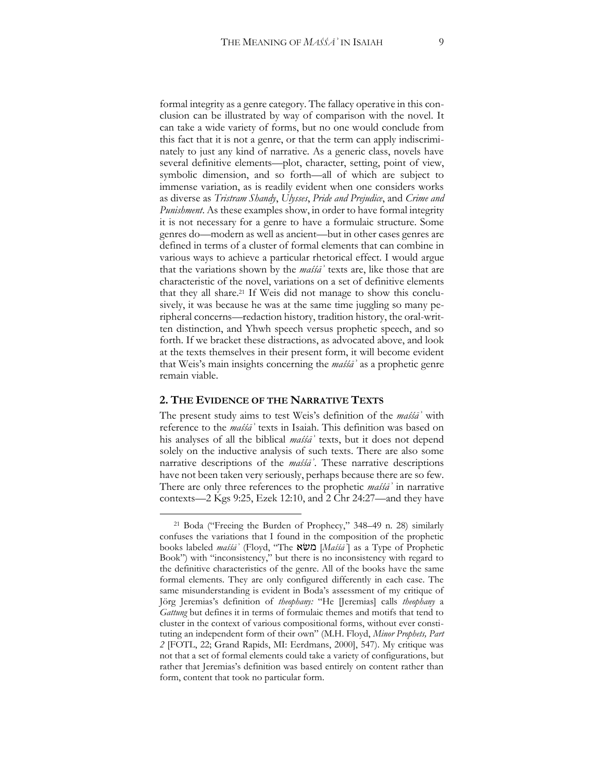formal integrity as a genre category. The fallacy operative in this conclusion can be illustrated by way of comparison with the novel. It can take a wide variety of forms, but no one would conclude from

this fact that it is not a genre, or that the term can apply indiscriminately to just any kind of narrative. As a generic class, novels have several definitive elements—plot, character, setting, point of view, symbolic dimension, and so forth—all of which are subject to immense variation, as is readily evident when one considers works as diverse as *Tristram Shandy*, *Ulysses*, *Pride and Prejudice*, and *Crime and Punishment*. As these examples show, in order to have formal integrity it is not necessary for a genre to have a formulaic structure. Some genres do—modern as well as ancient—but in other cases genres are defined in terms of a cluster of formal elements that can combine in various ways to achieve a particular rhetorical effect. I would argue that the variations shown by the *maśśāʾ* texts are, like those that are characteristic of the novel, variations on a set of definitive elements that they all share.21 If Weis did not manage to show this conclusively, it was because he was at the same time juggling so many peripheral concerns—redaction history, tradition history, the oral-written distinction, and Yhwh speech versus prophetic speech, and so forth. If we bracket these distractions, as advocated above, and look at the texts themselves in their present form, it will become evident that Weis's main insights concerning the *maśśāʾ* as a prophetic genre remain viable.

#### **2. THE EVIDENCE OF THE NARRATIVE TEXTS**

 $\overline{a}$ 

The present study aims to test Weis's definition of the *maśśāʾ* with reference to the *maśśāʾ* texts in Isaiah. This definition was based on his analyses of all the biblical *maśśāʾ* texts, but it does not depend solely on the inductive analysis of such texts. There are also some narrative descriptions of the *maśśāʾ.* These narrative descriptions have not been taken very seriously, perhaps because there are so few. There are only three references to the prophetic *maśśāʾ* in narrative contexts—2 Kgs 9:25, Ezek 12:10, and 2 Chr 24:27—and they have

<sup>21</sup> Boda ("Freeing the Burden of Prophecy," 348–49 n. 28) similarly confuses the variations that I found in the composition of the prophetic books labeled *maśśāʾ* (Floyd, "The משׂא] *Maśśāʾ*] as a Type of Prophetic Book") with "inconsistency," but there is no inconsistency with regard to the definitive characteristics of the genre. All of the books have the same formal elements. They are only configured differently in each case. The same misunderstanding is evident in Boda's assessment of my critique of Jörg Jeremias's definition of *theophany:* "He [Jeremias] calls *theophany* a *Gattung* but defines it in terms of formulaic themes and motifs that tend to cluster in the context of various compositional forms, without ever constituting an independent form of their own" (M.H. Floyd, *Minor Prophets, Part 2* [FOTL, 22; Grand Rapids, MI: Eerdmans, 2000], 547). My critique was not that a set of formal elements could take a variety of configurations, but rather that Jeremias's definition was based entirely on content rather than form, content that took no particular form.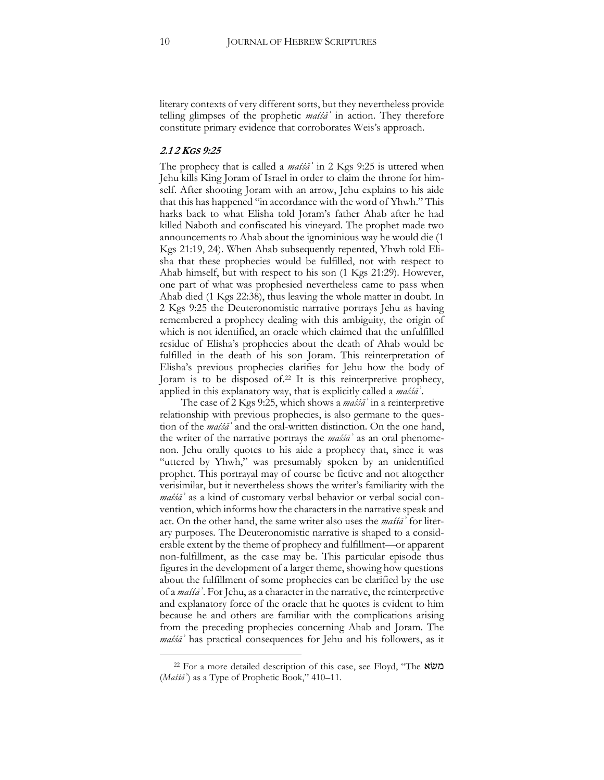$\overline{a}$ 

literary contexts of very different sorts, but they nevertheless provide telling glimpses of the prophetic *maśśāʾ* in action. They therefore constitute primary evidence that corroborates Weis's approach.

#### **2.1 2 KGS 9:25**

The prophecy that is called a *maśśāʾ* in 2 Kgs 9:25 is uttered when Jehu kills King Joram of Israel in order to claim the throne for himself. After shooting Joram with an arrow, Jehu explains to his aide that this has happened "in accordance with the word of Yhwh." This harks back to what Elisha told Joram's father Ahab after he had killed Naboth and confiscated his vineyard. The prophet made two announcements to Ahab about the ignominious way he would die (1 Kgs 21:19, 24). When Ahab subsequently repented, Yhwh told Elisha that these prophecies would be fulfilled, not with respect to Ahab himself, but with respect to his son (1 Kgs 21:29). However, one part of what was prophesied nevertheless came to pass when Ahab died (1 Kgs 22:38), thus leaving the whole matter in doubt. In 2 Kgs 9:25 the Deuteronomistic narrative portrays Jehu as having remembered a prophecy dealing with this ambiguity, the origin of which is not identified, an oracle which claimed that the unfulfilled residue of Elisha's prophecies about the death of Ahab would be fulfilled in the death of his son Joram. This reinterpretation of Elisha's previous prophecies clarifies for Jehu how the body of Joram is to be disposed of.<sup>22</sup> It is this reinterpretive prophecy, applied in this explanatory way, that is explicitly called a *maśśāʾ*.

The case of 2 Kgs 9:25, which shows a *maśśāʾ* in a reinterpretive relationship with previous prophecies, is also germane to the question of the *maśśāʾ* and the oral-written distinction. On the one hand, the writer of the narrative portrays the *maśśāʾ* as an oral phenomenon. Jehu orally quotes to his aide a prophecy that, since it was "uttered by Yhwh," was presumably spoken by an unidentified prophet. This portrayal may of course be fictive and not altogether verisimilar, but it nevertheless shows the writer's familiarity with the *maśśāʾ* as a kind of customary verbal behavior or verbal social convention, which informs how the characters in the narrative speak and act. On the other hand, the same writer also uses the *maśśāʾ* for literary purposes*.* The Deuteronomistic narrative is shaped to a considerable extent by the theme of prophecy and fulfillment—or apparent non-fulfillment, as the case may be. This particular episode thus figures in the development of a larger theme, showing how questions about the fulfillment of some prophecies can be clarified by the use of a *maśśāʾ*. For Jehu, as a character in the narrative, the reinterpretive and explanatory force of the oracle that he quotes is evident to him because he and others are familiar with the complications arising from the preceding prophecies concerning Ahab and Joram. The *maśśāʾ* has practical consequences for Jehu and his followers, as it

<sup>22</sup> For a more detailed description of this case, see Floyd, "The משׂא (*Maśśāʾ*) as a Type of Prophetic Book," 410–11.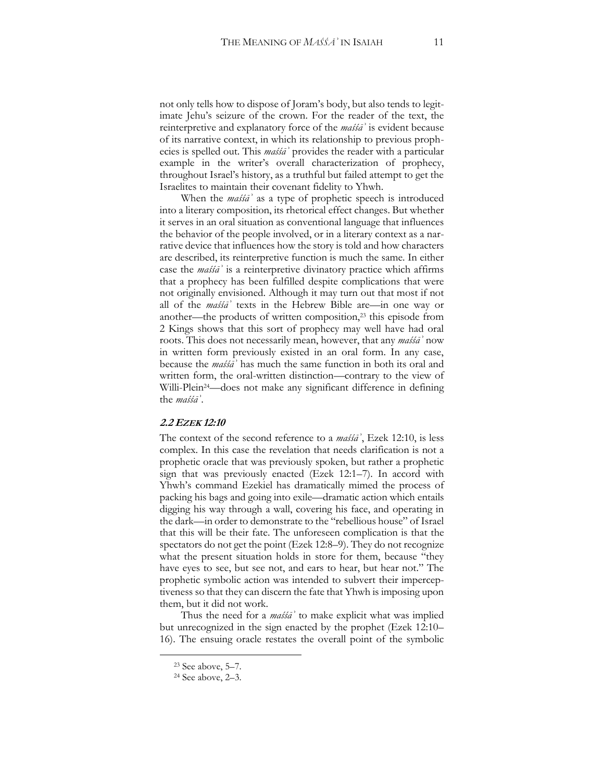not only tells how to dispose of Joram's body, but also tends to legitimate Jehu's seizure of the crown. For the reader of the text, the reinterpretive and explanatory force of the *maśśāʾ* is evident because of its narrative context, in which its relationship to previous prophecies is spelled out. This *maśśāʾ* provides the reader with a particular example in the writer's overall characterization of prophecy, throughout Israel's history, as a truthful but failed attempt to get the Israelites to maintain their covenant fidelity to Yhwh.

When the *maśśāʾ* as a type of prophetic speech is introduced into a literary composition, its rhetorical effect changes. But whether it serves in an oral situation as conventional language that influences the behavior of the people involved, or in a literary context as a narrative device that influences how the story is told and how characters are described, its reinterpretive function is much the same. In either case the *maśśāʾ* is a reinterpretive divinatory practice which affirms that a prophecy has been fulfilled despite complications that were not originally envisioned. Although it may turn out that most if not all of the *maśśāʾ* texts in the Hebrew Bible are—in one way or another—the products of written composition,23 this episode from 2 Kings shows that this sort of prophecy may well have had oral roots. This does not necessarily mean, however, that any *maśśāʾ* now in written form previously existed in an oral form. In any case, because the *maśśāʾ* has much the same function in both its oral and written form, the oral-written distinction—contrary to the view of Willi-Plein24—does not make any significant difference in defining the *maśśāʾ*.

#### **2.2 EZEK 12:10**

The context of the second reference to a *maśśāʾ*, Ezek 12:10, is less complex. In this case the revelation that needs clarification is not a prophetic oracle that was previously spoken, but rather a prophetic sign that was previously enacted (Ezek 12:1–7). In accord with Yhwh's command Ezekiel has dramatically mimed the process of packing his bags and going into exile—dramatic action which entails digging his way through a wall, covering his face, and operating in the dark—in order to demonstrate to the "rebellious house" of Israel that this will be their fate. The unforeseen complication is that the spectators do not get the point (Ezek 12:8–9). They do not recognize what the present situation holds in store for them, because "they have eyes to see, but see not, and ears to hear, but hear not." The prophetic symbolic action was intended to subvert their imperceptiveness so that they can discern the fate that Yhwh is imposing upon them, but it did not work.

Thus the need for a *maśśāʾ* to make explicit what was implied but unrecognized in the sign enacted by the prophet (Ezek 12:10– 16). The ensuing oracle restates the overall point of the symbolic

<sup>23</sup> See above, 5–7.

<sup>24</sup> See above, 2–3.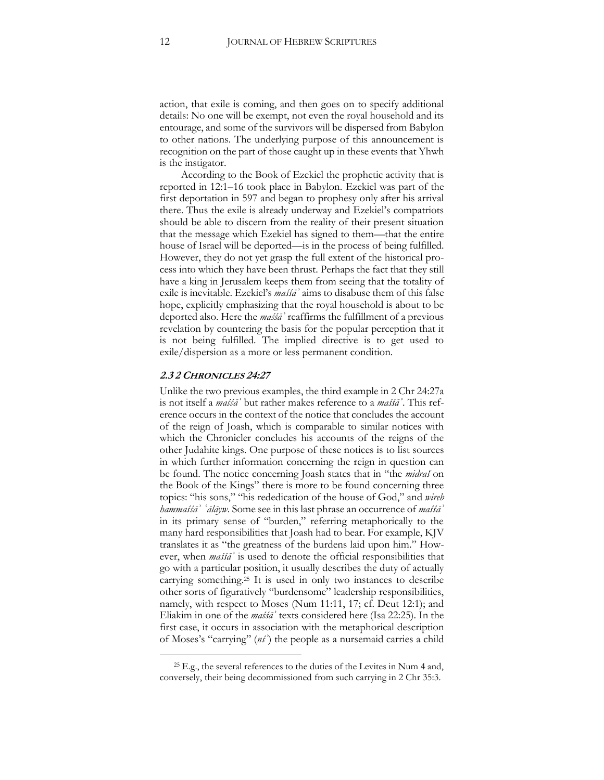action, that exile is coming, and then goes on to specify additional details: No one will be exempt, not even the royal household and its entourage, and some of the survivors will be dispersed from Babylon to other nations. The underlying purpose of this announcement is recognition on the part of those caught up in these events that Yhwh is the instigator.

According to the Book of Ezekiel the prophetic activity that is reported in 12:1–16 took place in Babylon. Ezekiel was part of the first deportation in 597 and began to prophesy only after his arrival there. Thus the exile is already underway and Ezekiel's compatriots should be able to discern from the reality of their present situation that the message which Ezekiel has signed to them—that the entire house of Israel will be deported—is in the process of being fulfilled. However, they do not yet grasp the full extent of the historical process into which they have been thrust. Perhaps the fact that they still have a king in Jerusalem keeps them from seeing that the totality of exile is inevitable. Ezekiel's *maśśāʾ* aims to disabuse them of this false hope, explicitly emphasizing that the royal household is about to be deported also. Here the *maśśāʾ* reaffirms the fulfillment of a previous revelation by countering the basis for the popular perception that it is not being fulfilled. The implied directive is to get used to exile/dispersion as a more or less permanent condition.

#### **2.3 2 CHRONICLES 24:27**

 $\overline{a}$ 

Unlike the two previous examples, the third example in 2 Chr 24:27a is not itself a *maśśāʾ* but rather makes reference to a *maśśāʾ*. This reference occurs in the context of the notice that concludes the account of the reign of Joash, which is comparable to similar notices with which the Chronicler concludes his accounts of the reigns of the other Judahite kings. One purpose of these notices is to list sources in which further information concerning the reign in question can be found. The notice concerning Joash states that in "the *midraš* on the Book of the Kings" there is more to be found concerning three topics: "his sons," "his rededication of the house of God," and *wireb hammaśśāʾ ʿālāyw*. Some see in this last phrase an occurrence of *maśśāʾ* in its primary sense of "burden," referring metaphorically to the many hard responsibilities that Joash had to bear. For example, KJV translates it as "the greatness of the burdens laid upon him." However, when *maśśāʾ* is used to denote the official responsibilities that go with a particular position, it usually describes the duty of actually carrying something.25 It is used in only two instances to describe other sorts of figuratively "burdensome" leadership responsibilities, namely, with respect to Moses (Num 11:11, 17; cf. Deut 12:1); and Eliakim in one of the *maśśāʾ* texts considered here (Isa 22:25). In the first case, it occurs in association with the metaphorical description of Moses's "carrying" (*nśʾ*) the people as a nursemaid carries a child

<sup>25</sup> E.g., the several references to the duties of the Levites in Num 4 and, conversely, their being decommissioned from such carrying in 2 Chr 35:3.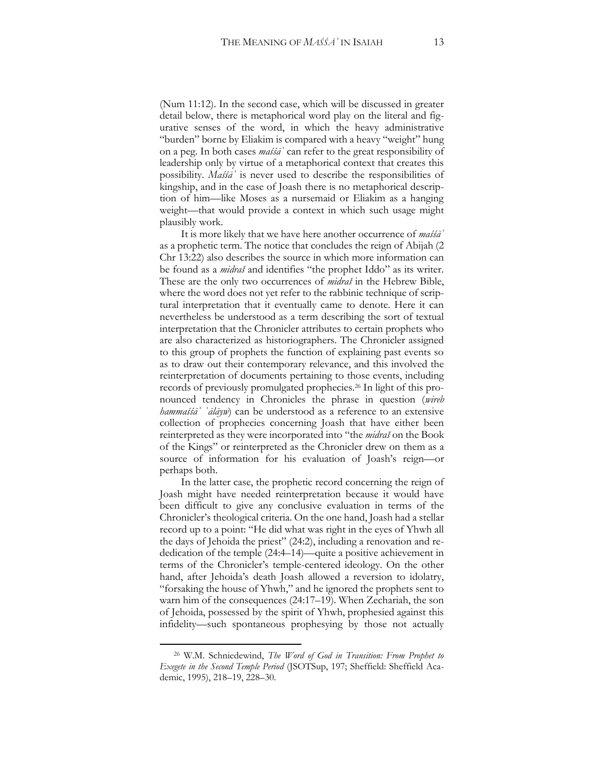(Num 11:12). In the second case, which will be discussed in greater detail below, there is metaphorical word play on the literal and figurative senses of the word, in which the heavy administrative "burden" borne by Eliakim is compared with a heavy "weight" hung on a peg. In both cases *maśśāʾ* can refer to the great responsibility of leadership only by virtue of a metaphorical context that creates this possibility. *Maśśāʾ* is never used to describe the responsibilities of kingship, and in the case of Joash there is no metaphorical description of him—like Moses as a nursemaid or Eliakim as a hanging weight—that would provide a context in which such usage might plausibly work.

It is more likely that we have here another occurrence of *maśśāʾ* as a prophetic term. The notice that concludes the reign of Abijah (2 Chr 13:22) also describes the source in which more information can be found as a *midraš* and identifies "the prophet Iddo" as its writer. These are the only two occurrences of *midraš* in the Hebrew Bible, where the word does not yet refer to the rabbinic technique of scriptural interpretation that it eventually came to denote. Here it can nevertheless be understood as a term describing the sort of textual interpretation that the Chronicler attributes to certain prophets who are also characterized as historiographers. The Chronicler assigned to this group of prophets the function of explaining past events so as to draw out their contemporary relevance, and this involved the reinterpretation of documents pertaining to those events, including records of previously promulgated prophecies.26 In light of this pronounced tendency in Chronicles the phrase in question (*wireb hammaśśāʾ ʿālāyw*) can be understood as a reference to an extensive collection of prophecies concerning Joash that have either been reinterpreted as they were incorporated into "the *midraš* on the Book of the Kings" or reinterpreted as the Chronicler drew on them as a source of information for his evaluation of Joash's reign—or perhaps both.

In the latter case, the prophetic record concerning the reign of Joash might have needed reinterpretation because it would have been difficult to give any conclusive evaluation in terms of the Chronicler's theological criteria. On the one hand, Joash had a stellar record up to a point: "He did what was right in the eyes of Yhwh all the days of Jehoida the priest" (24:2), including a renovation and rededication of the temple (24:4–14)—quite a positive achievement in terms of the Chronicler's temple-centered ideology. On the other hand, after Jehoida's death Joash allowed a reversion to idolatry, "forsaking the house of Yhwh," and he ignored the prophets sent to warn him of the consequences (24:17–19). When Zechariah, the son of Jehoida, possessed by the spirit of Yhwh, prophesied against this infidelity—such spontaneous prophesying by those not actually

<sup>26</sup> W.M. Schniedewind, *The Word of God in Transition: From Prophet to Exegete in the Second Temple Period* (JSOTSup, 197; Sheffield: Sheffield Academic, 1995), 218–19, 228–30.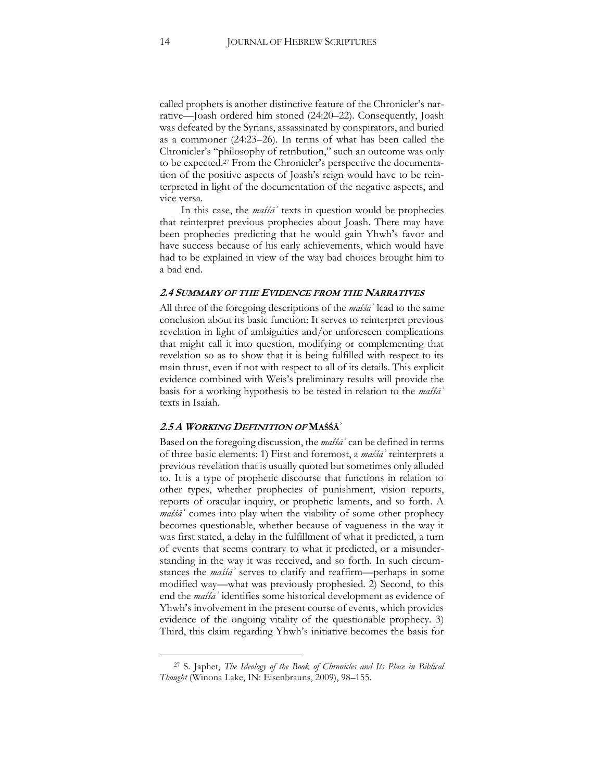called prophets is another distinctive feature of the Chronicler's narrative—Joash ordered him stoned (24:20–22). Consequently, Joash was defeated by the Syrians, assassinated by conspirators, and buried as a commoner (24:23–26). In terms of what has been called the Chronicler's "philosophy of retribution," such an outcome was only to be expected.27 From the Chronicler's perspective the documentation of the positive aspects of Joash's reign would have to be reinterpreted in light of the documentation of the negative aspects, and vice versa.

In this case, the *maśśāʾ* texts in question would be prophecies that reinterpret previous prophecies about Joash. There may have been prophecies predicting that he would gain Yhwh's favor and have success because of his early achievements, which would have had to be explained in view of the way bad choices brought him to a bad end.

#### **2.4 SUMMARY OF THE EVIDENCE FROM THE NARRATIVES**

All three of the foregoing descriptions of the *maśśāʾ* lead to the same conclusion about its basic function: It serves to reinterpret previous revelation in light of ambiguities and/or unforeseen complications that might call it into question, modifying or complementing that revelation so as to show that it is being fulfilled with respect to its main thrust, even if not with respect to all of its details. This explicit evidence combined with Weis's preliminary results will provide the basis for a working hypothesis to be tested in relation to the *maśśāʾ* texts in Isaiah.

#### **2.5 <sup>A</sup> WORKING DEFINITION OF MAŚŚĀʾ**

Based on the foregoing discussion, the *maśśāʾ* can be defined in terms of three basic elements: 1) First and foremost, a *maśśāʾ* reinterprets a previous revelation that is usually quoted but sometimes only alluded to. It is a type of prophetic discourse that functions in relation to other types, whether prophecies of punishment, vision reports, reports of oracular inquiry, or prophetic laments, and so forth. A *maśśāʾ* comes into play when the viability of some other prophecy becomes questionable, whether because of vagueness in the way it was first stated, a delay in the fulfillment of what it predicted, a turn of events that seems contrary to what it predicted, or a misunderstanding in the way it was received, and so forth. In such circumstances the *maśśāʾ* serves to clarify and reaffirm—perhaps in some modified way—what was previously prophesied. 2) Second, to this end the *maśśāʾ* identifies some historical development as evidence of Yhwh's involvement in the present course of events, which provides evidence of the ongoing vitality of the questionable prophecy. 3) Third, this claim regarding Yhwh's initiative becomes the basis for

<sup>27</sup> S. Japhet, *The Ideology of the Book of Chronicles and Its Place in Biblical Thought* (Winona Lake, IN: Eisenbrauns, 2009), 98–155.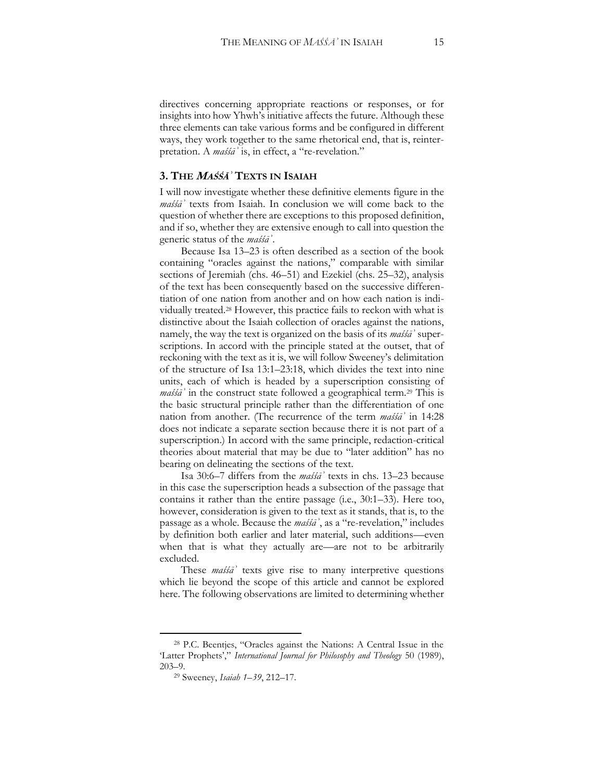directives concerning appropriate reactions or responses, or for insights into how Yhwh's initiative affects the future. Although these three elements can take various forms and be configured in different ways, they work together to the same rhetorical end, that is, reinterpretation. A *maśśāʾ* is, in effect, a "re-revelation."

#### **3. THE MAŚŚĀ***ʾ* **TEXTS IN ISAIAH**

I will now investigate whether these definitive elements figure in the *maśśāʾ* texts from Isaiah. In conclusion we will come back to the question of whether there are exceptions to this proposed definition, and if so, whether they are extensive enough to call into question the generic status of the *maśśāʾ*.

Because Isa 13–23 is often described as a section of the book containing "oracles against the nations," comparable with similar sections of Jeremiah (chs. 46–51) and Ezekiel (chs. 25–32), analysis of the text has been consequently based on the successive differentiation of one nation from another and on how each nation is individually treated.28 However, this practice fails to reckon with what is distinctive about the Isaiah collection of oracles against the nations, namely, the way the text is organized on the basis of its *maśśāʾ* superscriptions. In accord with the principle stated at the outset, that of reckoning with the text as it is, we will follow Sweeney's delimitation of the structure of Isa 13:1–23:18, which divides the text into nine units, each of which is headed by a superscription consisting of *maśśā*<sup>*'*</sup> in the construct state followed a geographical term.<sup>29</sup> This is the basic structural principle rather than the differentiation of one nation from another. (The recurrence of the term *maśśāʾ* in 14:28 does not indicate a separate section because there it is not part of a superscription.) In accord with the same principle, redaction-critical theories about material that may be due to "later addition" has no bearing on delineating the sections of the text.

Isa 30:6–7 differs from the *maśśāʾ* texts in chs. 13–23 because in this case the superscription heads a subsection of the passage that contains it rather than the entire passage (i.e., 30:1–33). Here too, however, consideration is given to the text as it stands, that is, to the passage as a whole. Because the *maśśāʾ*, as a "re-revelation," includes by definition both earlier and later material, such additions—even when that is what they actually are—are not to be arbitrarily excluded.

These *maśśāʾ* texts give rise to many interpretive questions which lie beyond the scope of this article and cannot be explored here. The following observations are limited to determining whether

<sup>28</sup> P.C. Beentjes, "Oracles against the Nations: A Central Issue in the 'Latter Prophets'," *International Journal for Philosophy and Theology* 50 (1989), 203–9.

<sup>29</sup> Sweeney, *Isaiah 1–39*, 212–17.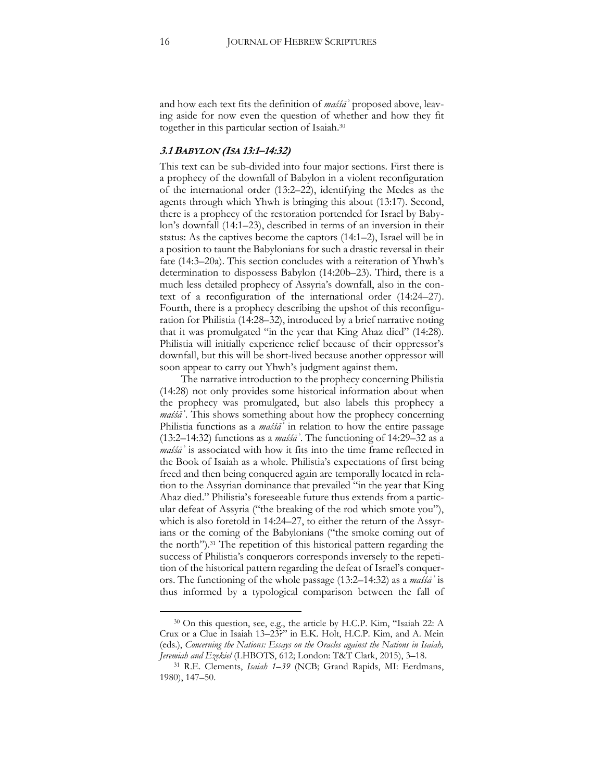and how each text fits the definition of *maśśāʾ* proposed above, leaving aside for now even the question of whether and how they fit together in this particular section of Isaiah.30

#### **3.1 BABYLON (ISA 13:1–14:32)**

This text can be sub-divided into four major sections. First there is a prophecy of the downfall of Babylon in a violent reconfiguration of the international order (13:2–22), identifying the Medes as the agents through which Yhwh is bringing this about (13:17). Second, there is a prophecy of the restoration portended for Israel by Babylon's downfall (14:1–23), described in terms of an inversion in their status: As the captives become the captors (14:1–2), Israel will be in a position to taunt the Babylonians for such a drastic reversal in their fate (14:3–20a). This section concludes with a reiteration of Yhwh's determination to dispossess Babylon (14:20b–23). Third, there is a much less detailed prophecy of Assyria's downfall, also in the context of a reconfiguration of the international order (14:24–27). Fourth, there is a prophecy describing the upshot of this reconfiguration for Philistia (14:28–32), introduced by a brief narrative noting that it was promulgated "in the year that King Ahaz died" (14:28). Philistia will initially experience relief because of their oppressor's downfall, but this will be short-lived because another oppressor will soon appear to carry out Yhwh's judgment against them.

The narrative introduction to the prophecy concerning Philistia (14:28) not only provides some historical information about when the prophecy was promulgated, but also labels this prophecy a *maśśāʾ*. This shows something about how the prophecy concerning Philistia functions as a *maśśāʾ* in relation to how the entire passage (13:2–14:32) functions as a *maśśāʾ*. The functioning of 14:29–32 as a *maśśāʾ* is associated with how it fits into the time frame reflected in the Book of Isaiah as a whole. Philistia's expectations of first being freed and then being conquered again are temporally located in relation to the Assyrian dominance that prevailed "in the year that King Ahaz died." Philistia's foreseeable future thus extends from a particular defeat of Assyria ("the breaking of the rod which smote you"), which is also foretold in 14:24–27, to either the return of the Assyrians or the coming of the Babylonians ("the smoke coming out of the north").<sup>31</sup> The repetition of this historical pattern regarding the success of Philistia's conquerors corresponds inversely to the repetition of the historical pattern regarding the defeat of Israel's conquerors. The functioning of the whole passage (13:2–14:32) as a *maśśāʾ* is thus informed by a typological comparison between the fall of

<sup>30</sup> On this question, see, e.g., the article by H.C.P. Kim, "Isaiah 22: A Crux or a Clue in Isaiah 13–23?" in E.K. Holt, H.C.P. Kim, and A. Mein (eds.), *Concerning the Nations: Essays on the Oracles against the Nations in Isaiah, Jeremiah and Ezekiel* (LHBOTS, 612; London: T&T Clark, 2015), 3–18.

<sup>31</sup> R.E. Clements, *Isaiah 1–39* (NCB; Grand Rapids, MI: Eerdmans, 1980), 147–50.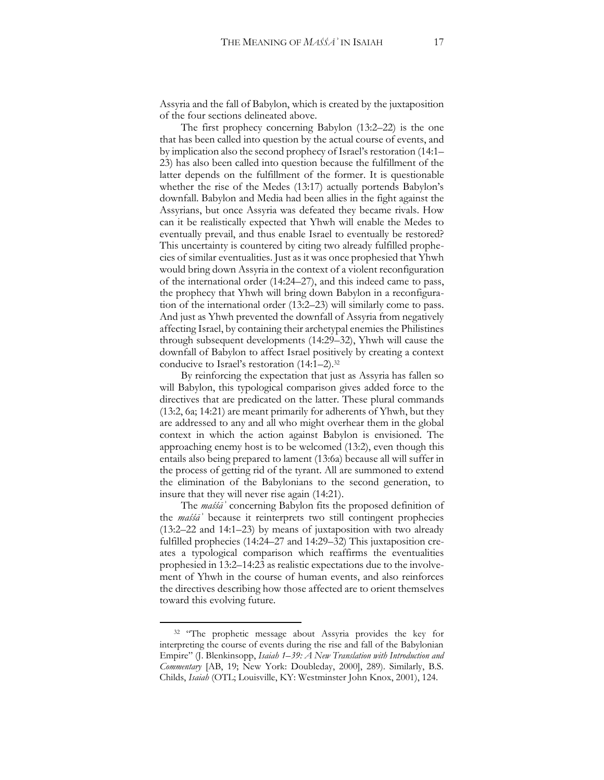Assyria and the fall of Babylon, which is created by the juxtaposition of the four sections delineated above.

The first prophecy concerning Babylon (13:2–22) is the one that has been called into question by the actual course of events, and by implication also the second prophecy of Israel's restoration (14:1– 23) has also been called into question because the fulfillment of the latter depends on the fulfillment of the former. It is questionable whether the rise of the Medes (13:17) actually portends Babylon's downfall. Babylon and Media had been allies in the fight against the Assyrians, but once Assyria was defeated they became rivals. How can it be realistically expected that Yhwh will enable the Medes to eventually prevail, and thus enable Israel to eventually be restored? This uncertainty is countered by citing two already fulfilled prophecies of similar eventualities. Just as it was once prophesied that Yhwh would bring down Assyria in the context of a violent reconfiguration of the international order (14:24–27), and this indeed came to pass, the prophecy that Yhwh will bring down Babylon in a reconfiguration of the international order (13:2–23) will similarly come to pass. And just as Yhwh prevented the downfall of Assyria from negatively affecting Israel, by containing their archetypal enemies the Philistines through subsequent developments (14:29–32), Yhwh will cause the downfall of Babylon to affect Israel positively by creating a context conducive to Israel's restoration (14:1–2).32

By reinforcing the expectation that just as Assyria has fallen so will Babylon, this typological comparison gives added force to the directives that are predicated on the latter. These plural commands (13:2, 6a; 14:21) are meant primarily for adherents of Yhwh, but they are addressed to any and all who might overhear them in the global context in which the action against Babylon is envisioned. The approaching enemy host is to be welcomed (13:2), even though this entails also being prepared to lament (13:6a) because all will suffer in the process of getting rid of the tyrant. All are summoned to extend the elimination of the Babylonians to the second generation, to insure that they will never rise again (14:21).

The *maśśāʾ* concerning Babylon fits the proposed definition of the *maśśāʾ* because it reinterprets two still contingent prophecies (13:2–22 and 14:1–23) by means of juxtaposition with two already fulfilled prophecies (14:24–27 and 14:29–32) This juxtaposition creates a typological comparison which reaffirms the eventualities prophesied in 13:2–14:23 as realistic expectations due to the involvement of Yhwh in the course of human events, and also reinforces the directives describing how those affected are to orient themselves toward this evolving future.

<sup>32</sup> "The prophetic message about Assyria provides the key for interpreting the course of events during the rise and fall of the Babylonian Empire" (J. Blenkinsopp, *Isaiah 1–39: A New Translation with Introduction and Commentary* [AB, 19; New York: Doubleday, 2000], 289). Similarly, B.S. Childs, *Isaiah* (OTL; Louisville, KY: Westminster John Knox, 2001), 124.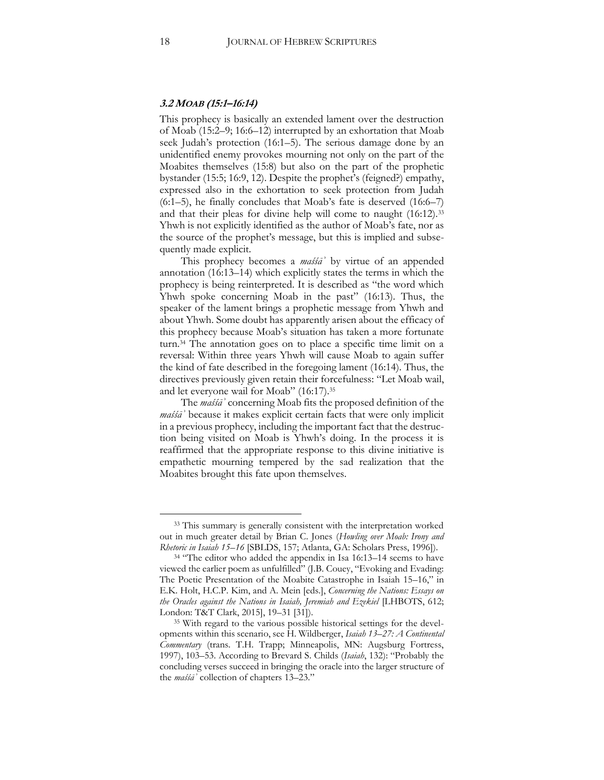#### **3.2 MOAB (15:1–16:14)**

This prophecy is basically an extended lament over the destruction of Moab (15:2–9; 16:6–12) interrupted by an exhortation that Moab seek Judah's protection (16:1–5). The serious damage done by an unidentified enemy provokes mourning not only on the part of the Moabites themselves (15:8) but also on the part of the prophetic bystander (15:5; 16:9, 12). Despite the prophet's (feigned?) empathy, expressed also in the exhortation to seek protection from Judah  $(6:1-5)$ , he finally concludes that Moab's fate is deserved  $(16:6-7)$ and that their pleas for divine help will come to naught  $(16:12).^{33}$ Yhwh is not explicitly identified as the author of Moab's fate, nor as the source of the prophet's message, but this is implied and subsequently made explicit.

This prophecy becomes a *maśśāʾ* by virtue of an appended annotation (16:13–14) which explicitly states the terms in which the prophecy is being reinterpreted. It is described as "the word which Yhwh spoke concerning Moab in the past" (16:13). Thus, the speaker of the lament brings a prophetic message from Yhwh and about Yhwh. Some doubt has apparently arisen about the efficacy of this prophecy because Moab's situation has taken a more fortunate turn.34 The annotation goes on to place a specific time limit on a reversal: Within three years Yhwh will cause Moab to again suffer the kind of fate described in the foregoing lament (16:14). Thus, the directives previously given retain their forcefulness: "Let Moab wail, and let everyone wail for Moab" (16:17).<sup>35</sup>

The *maśśāʾ* concerning Moab fits the proposed definition of the *maśśāʾ* because it makes explicit certain facts that were only implicit in a previous prophecy, including the important fact that the destruction being visited on Moab is Yhwh's doing. In the process it is reaffirmed that the appropriate response to this divine initiative is empathetic mourning tempered by the sad realization that the Moabites brought this fate upon themselves.

<sup>&</sup>lt;sup>33</sup> This summary is generally consistent with the interpretation worked out in much greater detail by Brian C. Jones (*Howling over Moab: Irony and Rhetoric in Isaiah 15–16* [SBLDS, 157; Atlanta, GA: Scholars Press, 1996]).

<sup>34</sup> "The editor who added the appendix in Isa 16:13–14 seems to have viewed the earlier poem as unfulfilled" (J.B. Couey, "Evoking and Evading: The Poetic Presentation of the Moabite Catastrophe in Isaiah 15–16," in E.K. Holt, H.C.P. Kim, and A. Mein [eds.], *Concerning the Nations: Essays on*  the Oracles against the Nations in Isaiah, Jeremiah and Ezekiel [LHBOTS, 612; London: T&T Clark, 2015], 19–31 [31]).

<sup>35</sup> With regard to the various possible historical settings for the developments within this scenario, see H. Wildberger, *Isaiah 13–27: A Continental Commentary* (trans. T.H. Trapp; Minneapolis, MN: Augsburg Fortress, 1997), 103–53. According to Brevard S. Childs (*Isaiah*, 132): "Probably the concluding verses succeed in bringing the oracle into the larger structure of the *maśśāʾ* collection of chapters 13–23."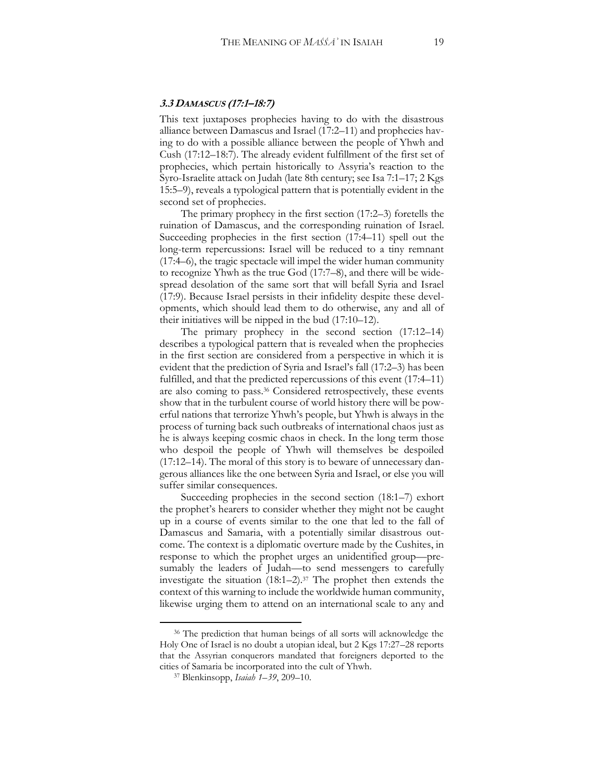#### **3.3 DAMASCUS (17:1–18:7)**

This text juxtaposes prophecies having to do with the disastrous alliance between Damascus and Israel (17:2–11) and prophecies having to do with a possible alliance between the people of Yhwh and Cush (17:12–18:7). The already evident fulfillment of the first set of prophecies, which pertain historically to Assyria's reaction to the Syro-Israelite attack on Judah (late 8th century; see Isa 7:1–17; 2 Kgs 15:5–9), reveals a typological pattern that is potentially evident in the second set of prophecies.

The primary prophecy in the first section (17:2–3) foretells the ruination of Damascus, and the corresponding ruination of Israel. Succeeding prophecies in the first section (17:4–11) spell out the long-term repercussions: Israel will be reduced to a tiny remnant (17:4–6), the tragic spectacle will impel the wider human community to recognize Yhwh as the true God (17:7–8), and there will be widespread desolation of the same sort that will befall Syria and Israel (17:9). Because Israel persists in their infidelity despite these developments, which should lead them to do otherwise, any and all of their initiatives will be nipped in the bud (17:10–12).

The primary prophecy in the second section (17:12–14) describes a typological pattern that is revealed when the prophecies in the first section are considered from a perspective in which it is evident that the prediction of Syria and Israel's fall (17:2–3) has been fulfilled, and that the predicted repercussions of this event (17:4–11) are also coming to pass.36 Considered retrospectively, these events show that in the turbulent course of world history there will be powerful nations that terrorize Yhwh's people, but Yhwh is always in the process of turning back such outbreaks of international chaos just as he is always keeping cosmic chaos in check. In the long term those who despoil the people of Yhwh will themselves be despoiled (17:12–14). The moral of this story is to beware of unnecessary dangerous alliances like the one between Syria and Israel, or else you will suffer similar consequences.

Succeeding prophecies in the second section (18:1–7) exhort the prophet's hearers to consider whether they might not be caught up in a course of events similar to the one that led to the fall of Damascus and Samaria, with a potentially similar disastrous outcome. The context is a diplomatic overture made by the Cushites, in response to which the prophet urges an unidentified group—presumably the leaders of Judah—to send messengers to carefully investigate the situation  $(18:1-2)$ .<sup>37</sup> The prophet then extends the context of this warning to include the worldwide human community, likewise urging them to attend on an international scale to any and

<sup>36</sup> The prediction that human beings of all sorts will acknowledge the Holy One of Israel is no doubt a utopian ideal, but 2 Kgs 17:27–28 reports that the Assyrian conquerors mandated that foreigners deported to the cities of Samaria be incorporated into the cult of Yhwh.

<sup>37</sup> Blenkinsopp, *Isaiah 1–39*, 209–10.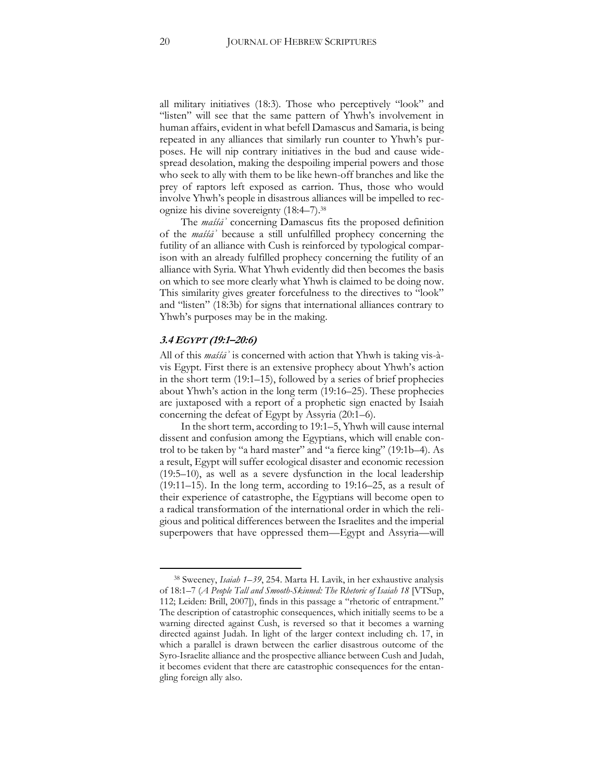all military initiatives (18:3). Those who perceptively "look" and "listen" will see that the same pattern of Yhwh's involvement in human affairs, evident in what befell Damascus and Samaria, is being repeated in any alliances that similarly run counter to Yhwh's purposes. He will nip contrary initiatives in the bud and cause widespread desolation, making the despoiling imperial powers and those who seek to ally with them to be like hewn-off branches and like the prey of raptors left exposed as carrion. Thus, those who would involve Yhwh's people in disastrous alliances will be impelled to recognize his divine sovereignty (18:4–7).38

The *maśśāʾ* concerning Damascus fits the proposed definition of the *maśśāʾ* because a still unfulfilled prophecy concerning the futility of an alliance with Cush is reinforced by typological comparison with an already fulfilled prophecy concerning the futility of an alliance with Syria. What Yhwh evidently did then becomes the basis on which to see more clearly what Yhwh is claimed to be doing now. This similarity gives greater forcefulness to the directives to "look" and "listen" (18:3b) for signs that international alliances contrary to Yhwh's purposes may be in the making.

#### **3.4 EGYPT (19:1–20:6)**

 $\overline{a}$ 

All of this *maśśāʾ* is concerned with action that Yhwh is taking vis-àvis Egypt. First there is an extensive prophecy about Yhwh's action in the short term (19:1–15), followed by a series of brief prophecies about Yhwh's action in the long term (19:16–25). These prophecies are juxtaposed with a report of a prophetic sign enacted by Isaiah concerning the defeat of Egypt by Assyria (20:1–6).

In the short term, according to 19:1–5, Yhwh will cause internal dissent and confusion among the Egyptians, which will enable control to be taken by "a hard master" and "a fierce king" (19:1b–4). As a result, Egypt will suffer ecological disaster and economic recession (19:5–10), as well as a severe dysfunction in the local leadership (19:11–15). In the long term, according to 19:16–25, as a result of their experience of catastrophe, the Egyptians will become open to a radical transformation of the international order in which the religious and political differences between the Israelites and the imperial superpowers that have oppressed them—Egypt and Assyria—will

<sup>38</sup> Sweeney, *Isaiah 1–39*, 254. Marta H. Lavik, in her exhaustive analysis of 18:1–7 (*A People Tall and Smooth-Skinned: The Rhetoric of Isaiah 18* [VTSup, 112; Leiden: Brill, 2007]), finds in this passage a "rhetoric of entrapment." The description of catastrophic consequences, which initially seems to be a warning directed against Cush, is reversed so that it becomes a warning directed against Judah. In light of the larger context including ch. 17, in which a parallel is drawn between the earlier disastrous outcome of the Syro-Israelite alliance and the prospective alliance between Cush and Judah, it becomes evident that there are catastrophic consequences for the entangling foreign ally also.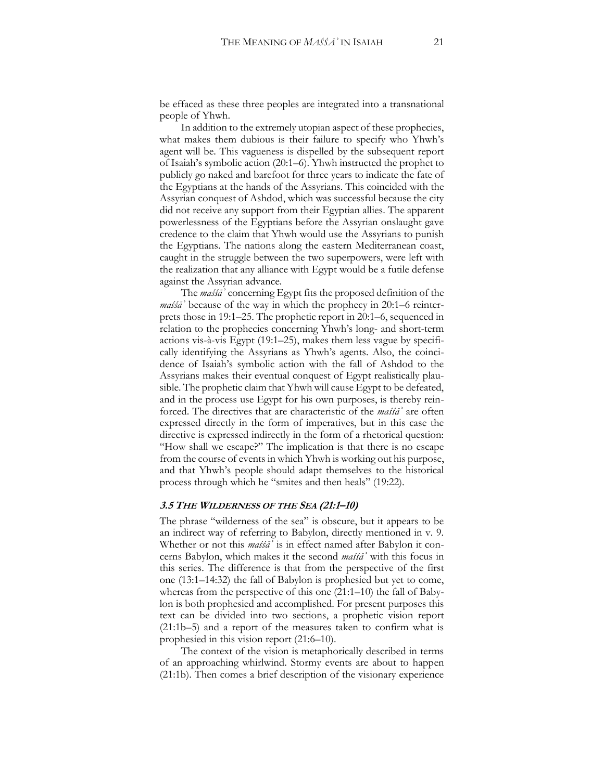be effaced as these three peoples are integrated into a transnational people of Yhwh.

In addition to the extremely utopian aspect of these prophecies, what makes them dubious is their failure to specify who Yhwh's agent will be. This vagueness is dispelled by the subsequent report of Isaiah's symbolic action (20:1–6). Yhwh instructed the prophet to publicly go naked and barefoot for three years to indicate the fate of the Egyptians at the hands of the Assyrians. This coincided with the Assyrian conquest of Ashdod, which was successful because the city did not receive any support from their Egyptian allies. The apparent powerlessness of the Egyptians before the Assyrian onslaught gave credence to the claim that Yhwh would use the Assyrians to punish the Egyptians. The nations along the eastern Mediterranean coast, caught in the struggle between the two superpowers, were left with the realization that any alliance with Egypt would be a futile defense against the Assyrian advance.

The *maśśāʾ* concerning Egypt fits the proposed definition of the *maśśāʾ* because of the way in which the prophecy in 20:1–6 reinterprets those in 19:1–25. The prophetic report in 20:1–6, sequenced in relation to the prophecies concerning Yhwh's long- and short-term actions vis-à-vis Egypt (19:1–25), makes them less vague by specifically identifying the Assyrians as Yhwh's agents. Also, the coincidence of Isaiah's symbolic action with the fall of Ashdod to the Assyrians makes their eventual conquest of Egypt realistically plausible. The prophetic claim that Yhwh will cause Egypt to be defeated, and in the process use Egypt for his own purposes, is thereby reinforced. The directives that are characteristic of the *maśśāʾ* are often expressed directly in the form of imperatives, but in this case the directive is expressed indirectly in the form of a rhetorical question: "How shall we escape?" The implication is that there is no escape from the course of events in which Yhwh is working out his purpose, and that Yhwh's people should adapt themselves to the historical process through which he "smites and then heals" (19:22).

#### **3.5 THE WILDERNESS OF THE SEA (21:1–10)**

The phrase "wilderness of the sea" is obscure, but it appears to be an indirect way of referring to Babylon, directly mentioned in v. 9. Whether or not this *maśśāʾ* is in effect named after Babylon it concerns Babylon, which makes it the second *maśśāʾ* with this focus in this series. The difference is that from the perspective of the first one (13:1–14:32) the fall of Babylon is prophesied but yet to come, whereas from the perspective of this one (21:1–10) the fall of Babylon is both prophesied and accomplished. For present purposes this text can be divided into two sections, a prophetic vision report (21:1b–5) and a report of the measures taken to confirm what is prophesied in this vision report (21:6–10).

The context of the vision is metaphorically described in terms of an approaching whirlwind. Stormy events are about to happen (21:1b). Then comes a brief description of the visionary experience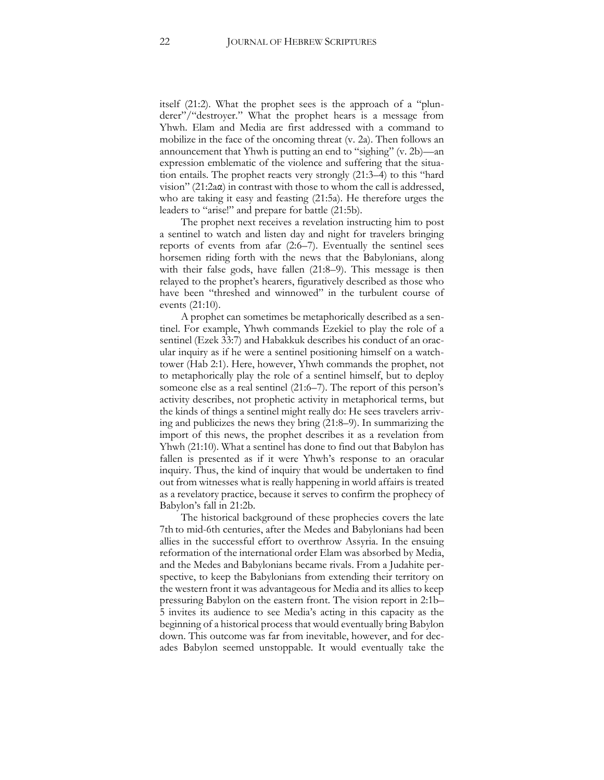itself (21:2). What the prophet sees is the approach of a "plunderer"/"destroyer." What the prophet hears is a message from Yhwh. Elam and Media are first addressed with a command to mobilize in the face of the oncoming threat (v. 2a). Then follows an announcement that Yhwh is putting an end to "sighing" (v. 2b)—an expression emblematic of the violence and suffering that the situation entails*.* The prophet reacts very strongly (21:3–4) to this "hard vision" (21:2aα) in contrast with those to whom the call is addressed, who are taking it easy and feasting (21:5a). He therefore urges the leaders to "arise!" and prepare for battle (21:5b).

The prophet next receives a revelation instructing him to post a sentinel to watch and listen day and night for travelers bringing reports of events from afar (2:6–7). Eventually the sentinel sees horsemen riding forth with the news that the Babylonians, along with their false gods, have fallen (21:8–9). This message is then relayed to the prophet's hearers, figuratively described as those who have been "threshed and winnowed" in the turbulent course of events (21:10).

A prophet can sometimes be metaphorically described as a sentinel. For example, Yhwh commands Ezekiel to play the role of a sentinel (Ezek 33:7) and Habakkuk describes his conduct of an oracular inquiry as if he were a sentinel positioning himself on a watchtower (Hab 2:1). Here, however, Yhwh commands the prophet, not to metaphorically play the role of a sentinel himself, but to deploy someone else as a real sentinel (21:6–7). The report of this person's activity describes, not prophetic activity in metaphorical terms, but the kinds of things a sentinel might really do: He sees travelers arriving and publicizes the news they bring (21:8–9). In summarizing the import of this news, the prophet describes it as a revelation from Yhwh (21:10). What a sentinel has done to find out that Babylon has fallen is presented as if it were Yhwh's response to an oracular inquiry. Thus, the kind of inquiry that would be undertaken to find out from witnesses what is really happening in world affairs is treated as a revelatory practice, because it serves to confirm the prophecy of Babylon's fall in 21:2b.

The historical background of these prophecies covers the late 7th to mid-6th centuries, after the Medes and Babylonians had been allies in the successful effort to overthrow Assyria. In the ensuing reformation of the international order Elam was absorbed by Media, and the Medes and Babylonians became rivals. From a Judahite perspective, to keep the Babylonians from extending their territory on the western front it was advantageous for Media and its allies to keep pressuring Babylon on the eastern front. The vision report in 2:1b– 5 invites its audience to see Media's acting in this capacity as the beginning of a historical process that would eventually bring Babylon down. This outcome was far from inevitable, however, and for decades Babylon seemed unstoppable. It would eventually take the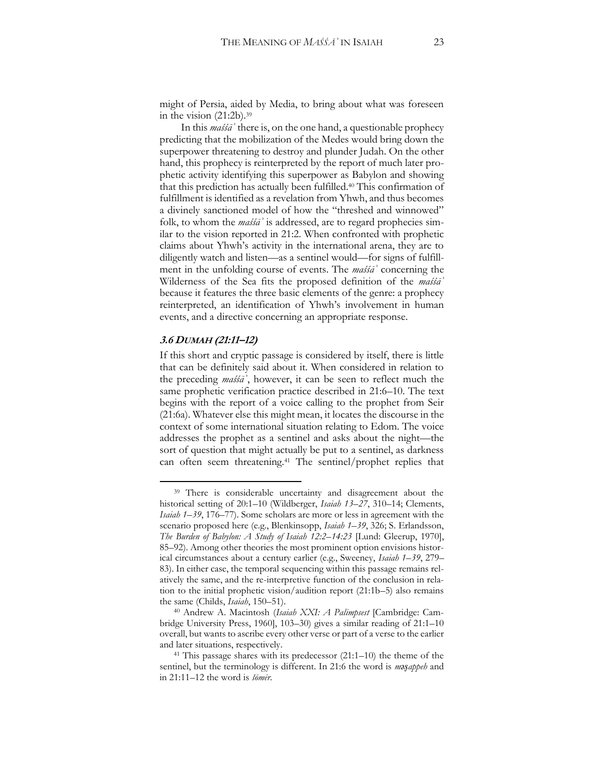might of Persia, aided by Media, to bring about what was foreseen in the vision (21:2b).39

In this *maśśāʾ* there is, on the one hand, a questionable prophecy predicting that the mobilization of the Medes would bring down the superpower threatening to destroy and plunder Judah. On the other hand, this prophecy is reinterpreted by the report of much later prophetic activity identifying this superpower as Babylon and showing that this prediction has actually been fulfilled. <sup>40</sup> This confirmation of fulfillment is identified as a revelation from Yhwh, and thus becomes a divinely sanctioned model of how the "threshed and winnowed" folk, to whom the *maśśāʾ* is addressed, are to regard prophecies similar to the vision reported in 21:2. When confronted with prophetic claims about Yhwh's activity in the international arena, they are to diligently watch and listen—as a sentinel would—for signs of fulfillment in the unfolding course of events. The *maśśāʾ* concerning the Wilderness of the Sea fits the proposed definition of the *maśśāʾ* because it features the three basic elements of the genre: a prophecy reinterpreted, an identification of Yhwh's involvement in human events, and a directive concerning an appropriate response.

#### **3.6 DUMAH (21:11–12)**

 $\overline{a}$ 

If this short and cryptic passage is considered by itself, there is little that can be definitely said about it. When considered in relation to the preceding *maśśāʾ*, however, it can be seen to reflect much the same prophetic verification practice described in 21:6–10. The text begins with the report of a voice calling to the prophet from Seir (21:6a). Whatever else this might mean, it locates the discourse in the context of some international situation relating to Edom. The voice addresses the prophet as a sentinel and asks about the night—the sort of question that might actually be put to a sentinel, as darkness can often seem threatening.41 The sentinel/prophet replies that

<sup>&</sup>lt;sup>39</sup> There is considerable uncertainty and disagreement about the historical setting of 20:1–10 (Wildberger, *Isaiah 13–27*, 310–14; Clements, *Isaiah 1–39*, 176–77). Some scholars are more or less in agreement with the scenario proposed here (e.g., Blenkinsopp, *Isaiah 1–39*, 326; S. Erlandsson, *The Burden of Babylon: A Study of Isaiah 12:2–14:23* [Lund: Gleerup, 1970], 85–92). Among other theories the most prominent option envisions historical circumstances about a century earlier (e.g., Sweeney, *Isaiah 1–39*, 279– 83). In either case, the temporal sequencing within this passage remains relatively the same, and the re-interpretive function of the conclusion in relation to the initial prophetic vision/audition report (21:1b–5) also remains the same (Childs, *Isaiah*, 150–51).

<sup>40</sup> Andrew A. Macintosh (*Isaiah XXI: A Palimpsest* [Cambridge: Cambridge University Press, 1960], 103–30) gives a similar reading of 21:1–10 overall, but wants to ascribe every other verse or part of a verse to the earlier and later situations, respectively.

<sup>41</sup> This passage shares with its predecessor (21:1–10) the theme of the sentinel, but the terminology is different. In 21:6 the word is *masappeh* and in 21:11–12 the word is *šōmēr*.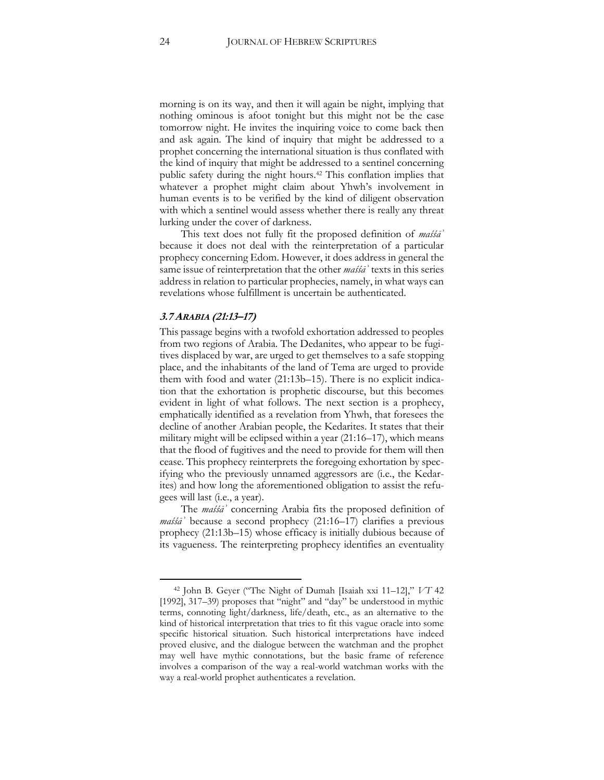morning is on its way, and then it will again be night, implying that nothing ominous is afoot tonight but this might not be the case tomorrow night. He invites the inquiring voice to come back then and ask again. The kind of inquiry that might be addressed to a prophet concerning the international situation is thus conflated with the kind of inquiry that might be addressed to a sentinel concerning public safety during the night hours.42 This conflation implies that whatever a prophet might claim about Yhwh's involvement in human events is to be verified by the kind of diligent observation with which a sentinel would assess whether there is really any threat lurking under the cover of darkness.

This text does not fully fit the proposed definition of *maśśāʾ* because it does not deal with the reinterpretation of a particular prophecy concerning Edom. However, it does address in general the same issue of reinterpretation that the other *maśśāʾ* texts in this series address in relation to particular prophecies, namely, in what ways can revelations whose fulfillment is uncertain be authenticated.

#### **3.7 ARABIA (21:13–17)**

 $\overline{a}$ 

This passage begins with a twofold exhortation addressed to peoples from two regions of Arabia. The Dedanites, who appear to be fugitives displaced by war, are urged to get themselves to a safe stopping place, and the inhabitants of the land of Tema are urged to provide them with food and water (21:13b–15). There is no explicit indication that the exhortation is prophetic discourse, but this becomes evident in light of what follows. The next section is a prophecy, emphatically identified as a revelation from Yhwh, that foresees the decline of another Arabian people, the Kedarites. It states that their military might will be eclipsed within a year (21:16–17), which means that the flood of fugitives and the need to provide for them will then cease. This prophecy reinterprets the foregoing exhortation by specifying who the previously unnamed aggressors are (i.e., the Kedarites) and how long the aforementioned obligation to assist the refugees will last (i.e., a year).

The *maśśāʾ* concerning Arabia fits the proposed definition of *maśśāʾ* because a second prophecy (21:16–17) clarifies a previous prophecy (21:13b–15) whose efficacy is initially dubious because of its vagueness. The reinterpreting prophecy identifies an eventuality

<sup>42</sup> John B. Geyer ("The Night of Dumah [Isaiah xxi 11–12]," *VT* 42 [1992], 317–39) proposes that "night" and "day" be understood in mythic terms, connoting light/darkness, life/death, etc., as an alternative to the kind of historical interpretation that tries to fit this vague oracle into some specific historical situation. Such historical interpretations have indeed proved elusive, and the dialogue between the watchman and the prophet may well have mythic connotations, but the basic frame of reference involves a comparison of the way a real-world watchman works with the way a real-world prophet authenticates a revelation.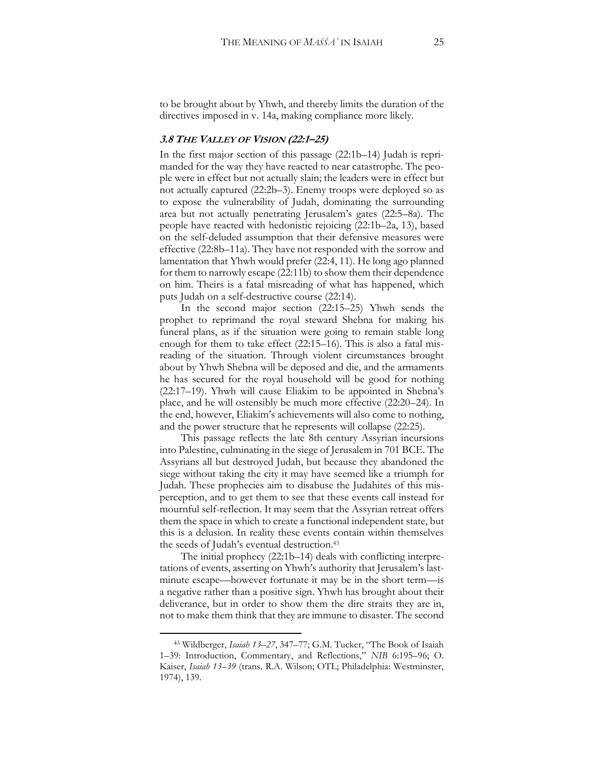to be brought about by Yhwh, and thereby limits the duration of the directives imposed in v. 14a, making compliance more likely.

#### **3.8 THE VALLEY OF VISION (22:1–25)**

In the first major section of this passage (22:1b–14) Judah is reprimanded for the way they have reacted to near catastrophe. The people were in effect but not actually slain; the leaders were in effect but not actually captured (22:2b–3). Enemy troops were deployed so as to expose the vulnerability of Judah, dominating the surrounding area but not actually penetrating Jerusalem's gates (22:5–8a). The people have reacted with hedonistic rejoicing (22:1b–2a, 13), based on the self-deluded assumption that their defensive measures were effective (22:8b–11a). They have not responded with the sorrow and lamentation that Yhwh would prefer (22:4, 11). He long ago planned for them to narrowly escape (22:11b) to show them their dependence on him. Theirs is a fatal misreading of what has happened, which puts Judah on a self-destructive course (22:14).

In the second major section (22:15–25) Yhwh sends the prophet to reprimand the royal steward Shebna for making his funeral plans, as if the situation were going to remain stable long enough for them to take effect (22:15–16). This is also a fatal misreading of the situation. Through violent circumstances brought about by Yhwh Shebna will be deposed and die, and the armaments he has secured for the royal household will be good for nothing (22:17–19). Yhwh will cause Eliakim to be appointed in Shebna's place, and he will ostensibly be much more effective (22:20–24). In the end, however, Eliakim's achievements will also come to nothing, and the power structure that he represents will collapse (22:25).

This passage reflects the late 8th century Assyrian incursions into Palestine, culminating in the siege of Jerusalem in 701 BCE. The Assyrians all but destroyed Judah, but because they abandoned the siege without taking the city it may have seemed like a triumph for Judah. These prophecies aim to disabuse the Judahites of this misperception, and to get them to see that these events call instead for mournful self-reflection. It may seem that the Assyrian retreat offers them the space in which to create a functional independent state, but this is a delusion. In reality these events contain within themselves the seeds of Judah's eventual destruction.<sup>43</sup>

The initial prophecy (22:1b–14) deals with conflicting interpretations of events, asserting on Yhwh's authority that Jerusalem's lastminute escape—however fortunate it may be in the short term—is a negative rather than a positive sign. Yhwh has brought about their deliverance, but in order to show them the dire straits they are in, not to make them think that they are immune to disaster. The second

<sup>43</sup> Wildberger, *Isaiah 13–27*, 347–77; G.M. Tucker, "The Book of Isaiah 1–39: Introduction, Commentary, and Reflections," *NIB* 6:195–96; O. Kaiser, *Isaiah 13–39* (trans. R.A. Wilson; OTL; Philadelphia: Westminster, 1974), 139.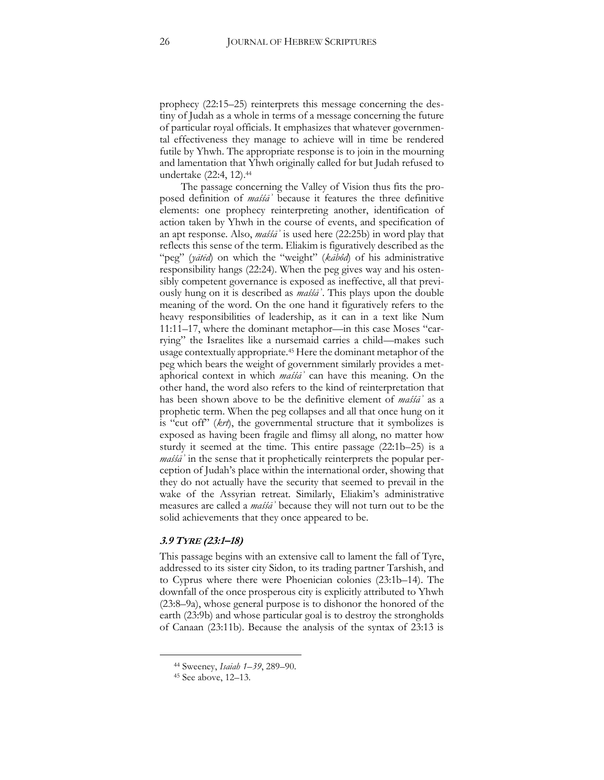prophecy (22:15–25) reinterprets this message concerning the destiny of Judah as a whole in terms of a message concerning the future of particular royal officials. It emphasizes that whatever governmental effectiveness they manage to achieve will in time be rendered futile by Yhwh. The appropriate response is to join in the mourning and lamentation that Yhwh originally called for but Judah refused to undertake (22:4, 12).44

The passage concerning the Valley of Vision thus fits the proposed definition of *maśśāʾ* because it features the three definitive elements: one prophecy reinterpreting another, identification of action taken by Yhwh in the course of events, and specification of an apt response. Also, *maśśāʾ* is used here (22:25b) in word play that reflects this sense of the term. Eliakim is figuratively described as the "peg" (*yātēd*) on which the "weight" (*kābôd*) of his administrative responsibility hangs (22:24). When the peg gives way and his ostensibly competent governance is exposed as ineffective, all that previously hung on it is described as *maśśāʾ*. This plays upon the double meaning of the word. On the one hand it figuratively refers to the heavy responsibilities of leadership, as it can in a text like Num 11:11–17, where the dominant metaphor—in this case Moses "carrying" the Israelites like a nursemaid carries a child—makes such usage contextually appropriate.45 Here the dominant metaphor of the peg which bears the weight of government similarly provides a metaphorical context in which *maśśāʾ* can have this meaning. On the other hand, the word also refers to the kind of reinterpretation that has been shown above to be the definitive element of *maśśāʾ* as a prophetic term. When the peg collapses and all that once hung on it is "cut off" (*krt*), the governmental structure that it symbolizes is exposed as having been fragile and flimsy all along, no matter how sturdy it seemed at the time. This entire passage (22:1b–25) is a *maśśāʾ* in the sense that it prophetically reinterprets the popular perception of Judah's place within the international order, showing that they do not actually have the security that seemed to prevail in the wake of the Assyrian retreat. Similarly, Eliakim's administrative measures are called a *maśśāʾ* because they will not turn out to be the solid achievements that they once appeared to be.

#### **3.9 TYRE (23:1–18)**

This passage begins with an extensive call to lament the fall of Tyre, addressed to its sister city Sidon, to its trading partner Tarshish, and to Cyprus where there were Phoenician colonies (23:1b–14). The downfall of the once prosperous city is explicitly attributed to Yhwh (23:8–9a), whose general purpose is to dishonor the honored of the earth (23:9b) and whose particular goal is to destroy the strongholds of Canaan (23:11b). Because the analysis of the syntax of 23:13 is

<sup>44</sup> Sweeney, *Isaiah 1–39*, 289–90.

<sup>45</sup> See above, 12–13.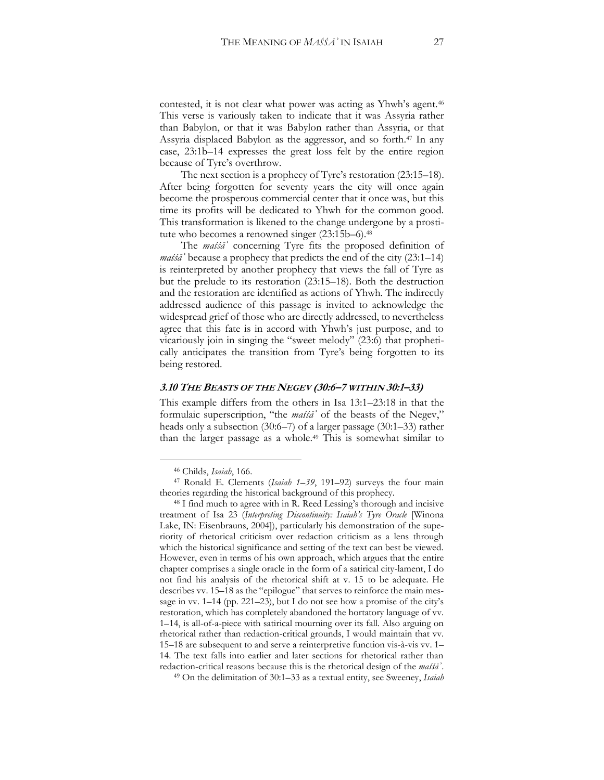contested, it is not clear what power was acting as Yhwh's agent.<sup>46</sup> This verse is variously taken to indicate that it was Assyria rather than Babylon, or that it was Babylon rather than Assyria, or that Assyria displaced Babylon as the aggressor, and so forth.47 In any case, 23:1b–14 expresses the great loss felt by the entire region because of Tyre's overthrow.

The next section is a prophecy of Tyre's restoration (23:15–18). After being forgotten for seventy years the city will once again become the prosperous commercial center that it once was, but this time its profits will be dedicated to Yhwh for the common good. This transformation is likened to the change undergone by a prostitute who becomes a renowned singer (23:15b–6).48

The *maśśāʾ* concerning Tyre fits the proposed definition of *maśśāʾ* because a prophecy that predicts the end of the city (23:1–14) is reinterpreted by another prophecy that views the fall of Tyre as but the prelude to its restoration (23:15–18). Both the destruction and the restoration are identified as actions of Yhwh. The indirectly addressed audience of this passage is invited to acknowledge the widespread grief of those who are directly addressed, to nevertheless agree that this fate is in accord with Yhwh's just purpose, and to vicariously join in singing the "sweet melody" (23:6) that prophetically anticipates the transition from Tyre's being forgotten to its being restored.

#### **3.10 THE BEASTS OF THE NEGEV (30:6–7 WITHIN 30:1–33)**

This example differs from the others in Isa 13:1–23:18 in that the formulaic superscription, "the *maśśāʾ* of the beasts of the Negev," heads only a subsection (30:6–7) of a larger passage (30:1–33) rather than the larger passage as a whole.49 This is somewhat similar to

<sup>46</sup> Childs, *Isaiah*, 166.

<sup>47</sup> Ronald E. Clements (*Isaiah 1–39*, 191–92) surveys the four main theories regarding the historical background of this prophecy.

<sup>48</sup> I find much to agree with in R. Reed Lessing's thorough and incisive treatment of Isa 23 (*Interpreting Discontinuity: Isaiah's Tyre Oracle* [Winona Lake, IN: Eisenbrauns, 2004]), particularly his demonstration of the superiority of rhetorical criticism over redaction criticism as a lens through which the historical significance and setting of the text can best be viewed. However, even in terms of his own approach, which argues that the entire chapter comprises a single oracle in the form of a satirical city-lament, I do not find his analysis of the rhetorical shift at v. 15 to be adequate. He describes vv. 15–18 as the "epilogue" that serves to reinforce the main message in vv. 1–14 (pp. 221–23), but I do not see how a promise of the city's restoration, which has completely abandoned the hortatory language of vv. 1–14, is all-of-a-piece with satirical mourning over its fall. Also arguing on rhetorical rather than redaction-critical grounds, I would maintain that vv. 15–18 are subsequent to and serve a reinterpretive function vis-à-vis vv. 1– 14. The text falls into earlier and later sections for rhetorical rather than redaction-critical reasons because this is the rhetorical design of the *maśśāʾ*.

<sup>49</sup> On the delimitation of 30:1–33 as a textual entity, see Sweeney, *Isaiah*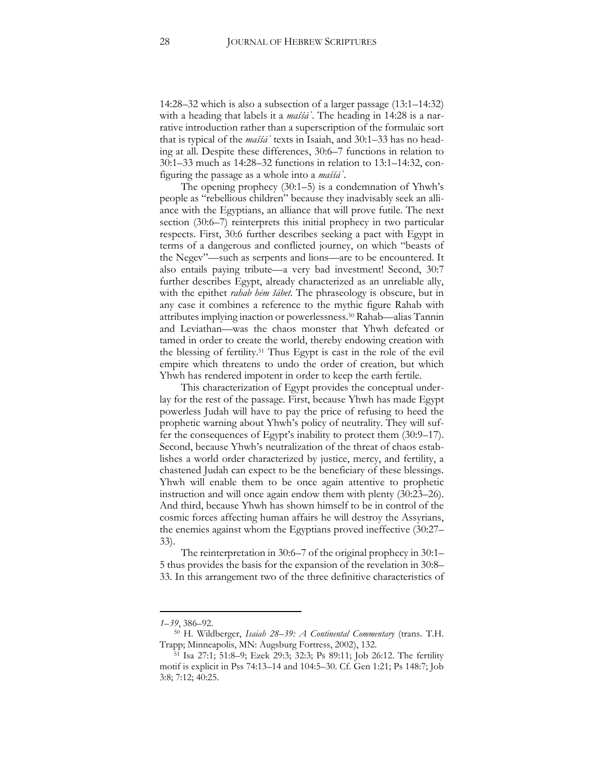14:28–32 which is also a subsection of a larger passage (13:1–14:32) with a heading that labels it a *maśśāʾ.* The heading in 14:28 is a narrative introduction rather than a superscription of the formulaic sort that is typical of the *maśśāʾ* texts in Isaiah, and 30:1–33 has no heading at all. Despite these differences, 30:6–7 functions in relation to 30:1–33 much as 14:28–32 functions in relation to 13:1–14:32, configuring the passage as a whole into a *maśśāʾ*.

The opening prophecy (30:1–5) is a condemnation of Yhwh's people as "rebellious children" because they inadvisably seek an alliance with the Egyptians, an alliance that will prove futile. The next section (30:6–7) reinterprets this initial prophecy in two particular respects. First, 30:6 further describes seeking a pact with Egypt in terms of a dangerous and conflicted journey, on which "beasts of the Negev"—such as serpents and lions—are to be encountered. It also entails paying tribute—a very bad investment! Second, 30:7 further describes Egypt, already characterized as an unreliable ally, with the epithet *rahab hēm šābet*. The phraseology is obscure, but in any case it combines a reference to the mythic figure Rahab with attributes implying inaction or powerlessness.50 Rahab—alias Tannin and Leviathan—was the chaos monster that Yhwh defeated or tamed in order to create the world, thereby endowing creation with the blessing of fertility.51 Thus Egypt is cast in the role of the evil empire which threatens to undo the order of creation, but which Yhwh has rendered impotent in order to keep the earth fertile.

This characterization of Egypt provides the conceptual underlay for the rest of the passage. First, because Yhwh has made Egypt powerless Judah will have to pay the price of refusing to heed the prophetic warning about Yhwh's policy of neutrality. They will suffer the consequences of Egypt's inability to protect them (30:9–17). Second, because Yhwh's neutralization of the threat of chaos establishes a world order characterized by justice, mercy, and fertility, a chastened Judah can expect to be the beneficiary of these blessings. Yhwh will enable them to be once again attentive to prophetic instruction and will once again endow them with plenty (30:23–26). And third, because Yhwh has shown himself to be in control of the cosmic forces affecting human affairs he will destroy the Assyrians, the enemies against whom the Egyptians proved ineffective (30:27– 33).

The reinterpretation in 30:6–7 of the original prophecy in 30:1– 5 thus provides the basis for the expansion of the revelation in 30:8– 33. In this arrangement two of the three definitive characteristics of

*<sup>1</sup>–39*, 386–92.

<sup>50</sup> H. Wildberger, *Isaiah 28–39: A Continental Commentary* (trans. T.H. Trapp; Minneapolis, MN: Augsburg Fortress, 2002), 132.

<sup>51</sup> Isa 27:1; 51:8–9; Ezek 29:3; 32:3; Ps 89:11; Job 26:12. The fertility motif is explicit in Pss 74:13–14 and 104:5–30. Cf. Gen 1:21; Ps 148:7; Job 3:8; 7:12; 40:25.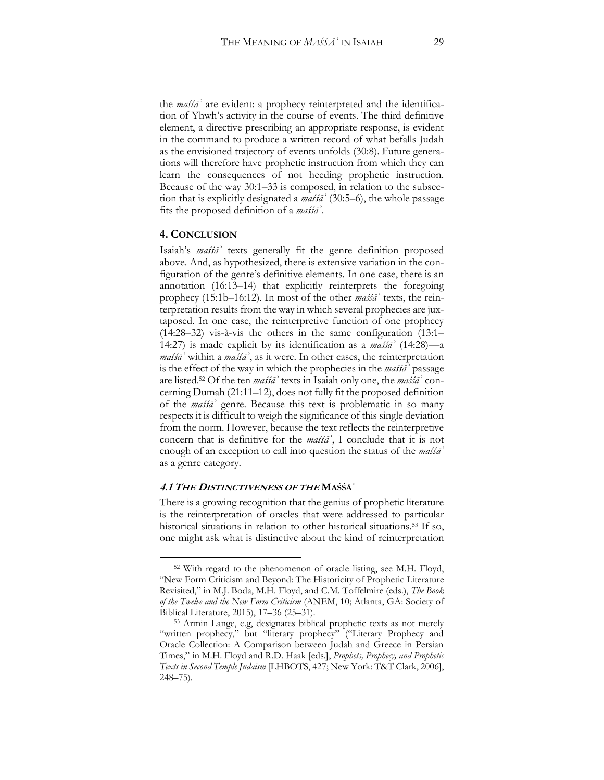the *maśśāʾ* are evident: a prophecy reinterpreted and the identification of Yhwh's activity in the course of events. The third definitive element, a directive prescribing an appropriate response, is evident in the command to produce a written record of what befalls Judah as the envisioned trajectory of events unfolds (30:8). Future generations will therefore have prophetic instruction from which they can learn the consequences of not heeding prophetic instruction. Because of the way 30:1–33 is composed, in relation to the subsection that is explicitly designated a *maśśāʾ* (30:5–6), the whole passage fits the proposed definition of a *maśśāʾ*.

#### **4. CONCLUSION**

 $\overline{a}$ 

Isaiah's *maśśāʾ* texts generally fit the genre definition proposed above. And, as hypothesized, there is extensive variation in the configuration of the genre's definitive elements. In one case, there is an annotation (16:13–14) that explicitly reinterprets the foregoing prophecy (15:1b–16:12). In most of the other *maśśāʾ* texts, the reinterpretation results from the way in which several prophecies are juxtaposed. In one case, the reinterpretive function of one prophecy (14:28–32) vis-à-vis the others in the same configuration (13:1– 14:27) is made explicit by its identification as a *maśśāʾ* (14:28)—a *maśśāʾ* within a *maśśāʾ*, as it were. In other cases, the reinterpretation is the effect of the way in which the prophecies in the *maśśāʾ* passage are listed.52 Of the ten *maśśāʾ* texts in Isaiah only one, the *maśśāʾ* concerning Dumah (21:11–12), does not fully fit the proposed definition of the *maśśāʾ* genre. Because this text is problematic in so many respects it is difficult to weigh the significance of this single deviation from the norm. However, because the text reflects the reinterpretive concern that is definitive for the *maśśāʾ*, I conclude that it is not enough of an exception to call into question the status of the *maśśāʾ* as a genre category.

#### **4.1 THE DISTINCTIVENESS OF THE MAŚŚĀʾ**

There is a growing recognition that the genius of prophetic literature is the reinterpretation of oracles that were addressed to particular historical situations in relation to other historical situations.<sup>53</sup> If so, one might ask what is distinctive about the kind of reinterpretation

<sup>52</sup> With regard to the phenomenon of oracle listing, see M.H. Floyd, "New Form Criticism and Beyond: The Historicity of Prophetic Literature Revisited," in M.J. Boda, M.H. Floyd, and C.M. Toffelmire (eds.), *The Book of the Twelve and the New Form Criticism* (ANEM, 10; Atlanta, GA: Society of Biblical Literature, 2015), 17–36 (25–31).

<sup>53</sup> Armin Lange, e.g, designates biblical prophetic texts as not merely "written prophecy," but "literary prophecy" ("Literary Prophecy and Oracle Collection: A Comparison between Judah and Greece in Persian Times," in M.H. Floyd and R.D. Haak [eds.], *Prophets, Prophecy, and Prophetic Texts in Second Temple Judaism* [LHBOTS, 427; New York: T&T Clark, 2006], 248–75).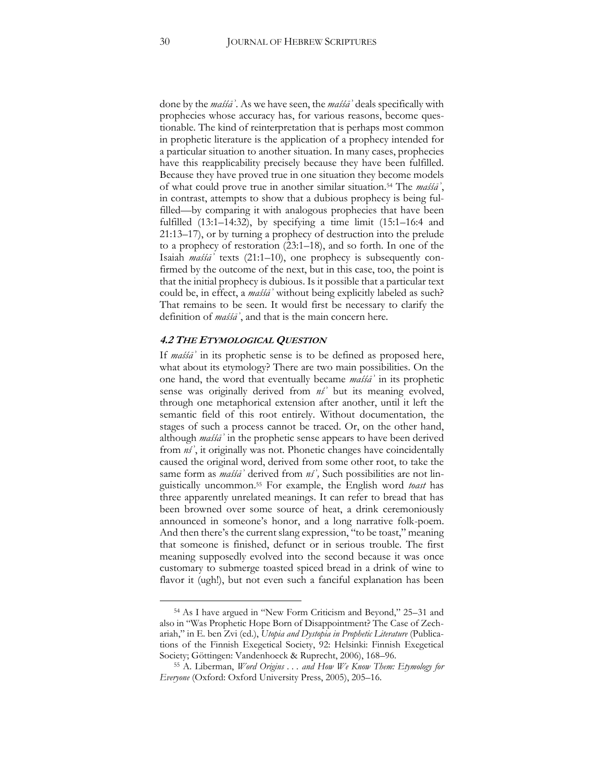done by the *maśśāʾ.* As we have seen, the *maśśāʾ* deals specifically with prophecies whose accuracy has, for various reasons, become questionable. The kind of reinterpretation that is perhaps most common in prophetic literature is the application of a prophecy intended for a particular situation to another situation. In many cases, prophecies have this reapplicability precisely because they have been fulfilled. Because they have proved true in one situation they become models of what could prove true in another similar situation.54 The *maśśāʾ*, in contrast, attempts to show that a dubious prophecy is being fulfilled—by comparing it with analogous prophecies that have been fulfilled (13:1–14:32), by specifying a time limit (15:1–16:4 and 21:13–17), or by turning a prophecy of destruction into the prelude to a prophecy of restoration (23:1–18), and so forth. In one of the Isaiah *maśśāʾ* texts (21:1–10), one prophecy is subsequently confirmed by the outcome of the next, but in this case, too, the point is that the initial prophecy is dubious. Is it possible that a particular text could be, in effect, a *maśśāʾ* without being explicitly labeled as such? That remains to be seen. It would first be necessary to clarify the definition of *maśśāʾ*, and that is the main concern here.

#### **4.2 THE ETYMOLOGICAL QUESTION**

If *maśśāʾ* in its prophetic sense is to be defined as proposed here, what about its etymology? There are two main possibilities. On the one hand, the word that eventually became *maśśāʾ* in its prophetic sense was originally derived from *nśʾ* but its meaning evolved, through one metaphorical extension after another, until it left the semantic field of this root entirely. Without documentation, the stages of such a process cannot be traced. Or, on the other hand, although *maśśāʾ* in the prophetic sense appears to have been derived from *nśʾ*, it originally was not. Phonetic changes have coincidentally caused the original word, derived from some other root, to take the same form as *maśśāʾ* derived from *nśʾ,* Such possibilities are not linguistically uncommon.55 For example, the English word *toast* has three apparently unrelated meanings. It can refer to bread that has been browned over some source of heat, a drink ceremoniously announced in someone's honor, and a long narrative folk-poem. And then there's the current slang expression, "to be toast," meaning that someone is finished, defunct or in serious trouble. The first meaning supposedly evolved into the second because it was once customary to submerge toasted spiced bread in a drink of wine to flavor it (ugh!), but not even such a fanciful explanation has been

<sup>54</sup> As I have argued in "New Form Criticism and Beyond," 25–31 and also in "Was Prophetic Hope Born of Disappointment? The Case of Zechariah," in E. ben Zvi (ed.), *Utopia and Dystopia in Prophetic Literature* (Publications of the Finnish Exegetical Society, 92: Helsinki: Finnish Exegetical Society; Göttingen: Vandenhoeck & Ruprecht, 2006), 168–96.

<sup>55</sup> A. Liberman, *Word Origins . . . and How We Know Them: Etymology for Everyone* (Oxford: Oxford University Press, 2005), 205–16.